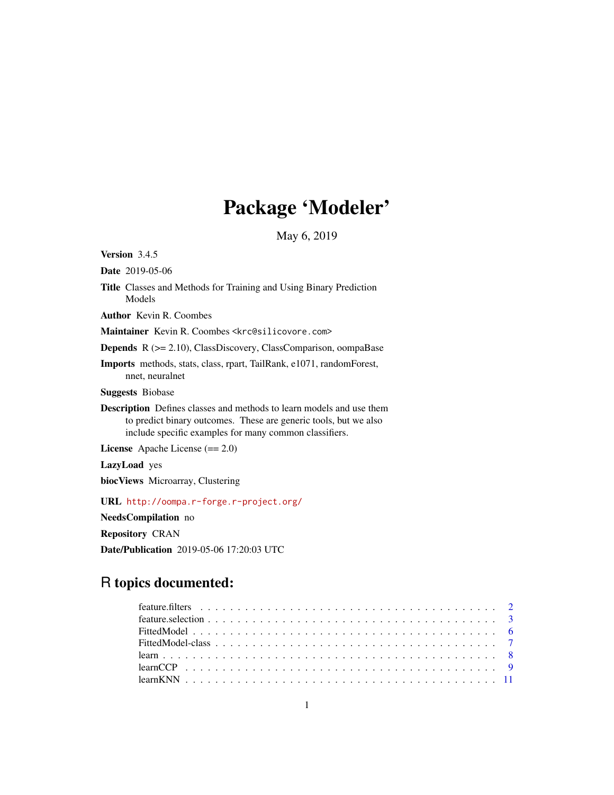# Package 'Modeler'

May 6, 2019

<span id="page-0-0"></span>Version 3.4.5

Date 2019-05-06

Title Classes and Methods for Training and Using Binary Prediction Models

Author Kevin R. Coombes

Maintainer Kevin R. Coombes <krc@silicovore.com>

Depends R (>= 2.10), ClassDiscovery, ClassComparison, oompaBase

Imports methods, stats, class, rpart, TailRank, e1071, randomForest, nnet, neuralnet

Suggests Biobase

Description Defines classes and methods to learn models and use them to predict binary outcomes. These are generic tools, but we also include specific examples for many common classifiers.

License Apache License (== 2.0)

LazyLoad yes

biocViews Microarray, Clustering

URL <http://oompa.r-forge.r-project.org/>

NeedsCompilation no

Repository CRAN

Date/Publication 2019-05-06 17:20:03 UTC

# R topics documented: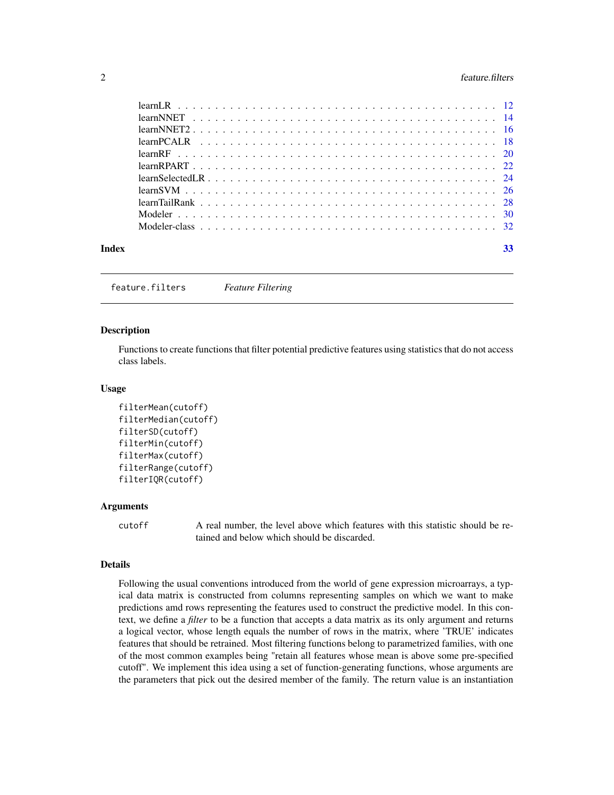#### <span id="page-1-0"></span>2 feature.filters

|  | 33 |
|--|----|

feature.filters *Feature Filtering*

# **Description**

Functions to create functions that filter potential predictive features using statistics that do not access class labels.

#### Usage

```
filterMean(cutoff)
filterMedian(cutoff)
filterSD(cutoff)
filterMin(cutoff)
filterMax(cutoff)
filterRange(cutoff)
filterIQR(cutoff)
```
#### Arguments

cutoff A real number, the level above which features with this statistic should be retained and below which should be discarded.

#### Details

Following the usual conventions introduced from the world of gene expression microarrays, a typical data matrix is constructed from columns representing samples on which we want to make predictions amd rows representing the features used to construct the predictive model. In this context, we define a *filter* to be a function that accepts a data matrix as its only argument and returns a logical vector, whose length equals the number of rows in the matrix, where 'TRUE' indicates features that should be retrained. Most filtering functions belong to parametrized families, with one of the most common examples being "retain all features whose mean is above some pre-specified cutoff". We implement this idea using a set of function-generating functions, whose arguments are the parameters that pick out the desired member of the family. The return value is an instantiation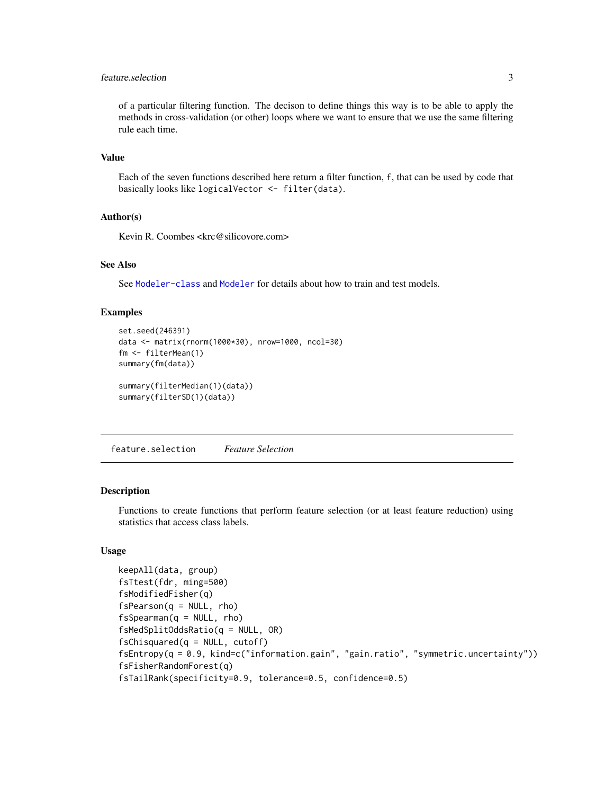# <span id="page-2-0"></span>feature.selection 3

of a particular filtering function. The decison to define things this way is to be able to apply the methods in cross-validation (or other) loops where we want to ensure that we use the same filtering rule each time.

# Value

Each of the seven functions described here return a filter function, f, that can be used by code that basically looks like logicalVector <- filter(data).

# Author(s)

Kevin R. Coombes <krc@silicovore.com>

# See Also

See [Modeler-class](#page-31-1) and [Modeler](#page-29-1) for details about how to train and test models.

#### Examples

```
set.seed(246391)
data <- matrix(rnorm(1000*30), nrow=1000, ncol=30)
fm <- filterMean(1)
summary(fm(data))
summary(filterMedian(1)(data))
summary(filterSD(1)(data))
```
feature.selection *Feature Selection*

# Description

Functions to create functions that perform feature selection (or at least feature reduction) using statistics that access class labels.

```
keepAll(data, group)
fsTtest(fdr, ming=500)
fsModifiedFisher(q)
fsPearson(q = NULL, rho)fsSpearman(q = NULL, rho)
fsMedSplitOddsRatio(q = NULL, OR)
fsChisquared(q = NULL, cutoff)fsEntropy(q = 0.9, kind=c("information.gain", "gain.ratio", "symmetric.uncertainty"))
fsFisherRandomForest(q)
fsTailRank(specificity=0.9, tolerance=0.5, confidence=0.5)
```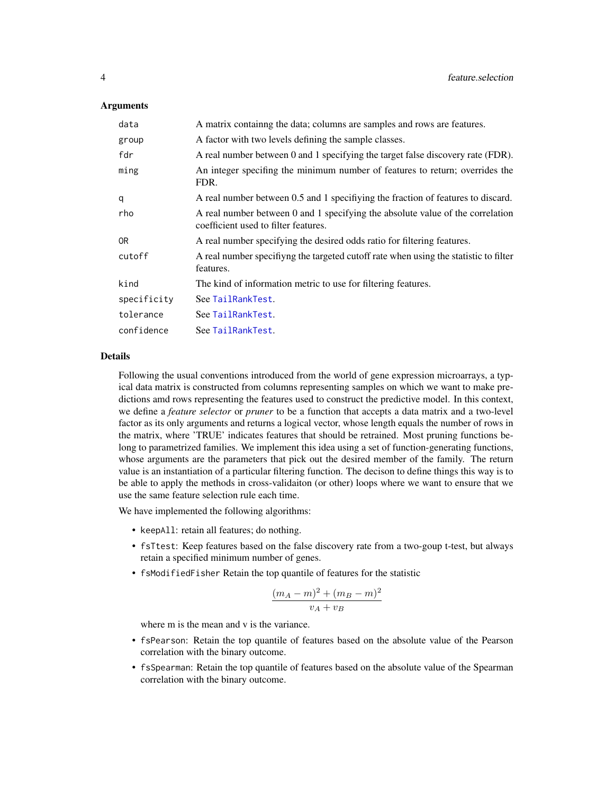# <span id="page-3-0"></span>Arguments

| data        | A matrix containing the data; columns are samples and rows are features.                                               |
|-------------|------------------------------------------------------------------------------------------------------------------------|
| group       | A factor with two levels defining the sample classes.                                                                  |
| fdr         | A real number between 0 and 1 specifying the target false discovery rate (FDR).                                        |
| ming        | An integer specifing the minimum number of features to return; overrides the<br>FDR.                                   |
| q           | A real number between 0.5 and 1 specifying the fraction of features to discard.                                        |
| rho         | A real number between 0 and 1 specifying the absolute value of the correlation<br>coefficient used to filter features. |
| 0R          | A real number specifying the desired odds ratio for filtering features.                                                |
| cutoff      | A real number specifying the targeted cutoff rate when using the statistic to filter<br>features.                      |
| kind        | The kind of information metric to use for filtering features.                                                          |
| specificity | See TailRankTest.                                                                                                      |
| tolerance   | See TailRankTest.                                                                                                      |
| confidence  | See TailRankTest.                                                                                                      |

#### Details

Following the usual conventions introduced from the world of gene expression microarrays, a typical data matrix is constructed from columns representing samples on which we want to make predictions amd rows representing the features used to construct the predictive model. In this context, we define a *feature selector* or *pruner* to be a function that accepts a data matrix and a two-level factor as its only arguments and returns a logical vector, whose length equals the number of rows in the matrix, where 'TRUE' indicates features that should be retrained. Most pruning functions belong to parametrized families. We implement this idea using a set of function-generating functions, whose arguments are the parameters that pick out the desired member of the family. The return value is an instantiation of a particular filtering function. The decison to define things this way is to be able to apply the methods in cross-validaiton (or other) loops where we want to ensure that we use the same feature selection rule each time.

We have implemented the following algorithms:

- keepAll: retain all features; do nothing.
- fsTtest: Keep features based on the false discovery rate from a two-goup t-test, but always retain a specified minimum number of genes.
- fsModifiedFisher Retain the top quantile of features for the statistic

$$
\frac{(m_A-m)^2+(m_B-m)^2}{v_A+v_B}
$$

where m is the mean and v is the variance.

- fsPearson: Retain the top quantile of features based on the absolute value of the Pearson correlation with the binary outcome.
- fsSpearman: Retain the top quantile of features based on the absolute value of the Spearman correlation with the binary outcome.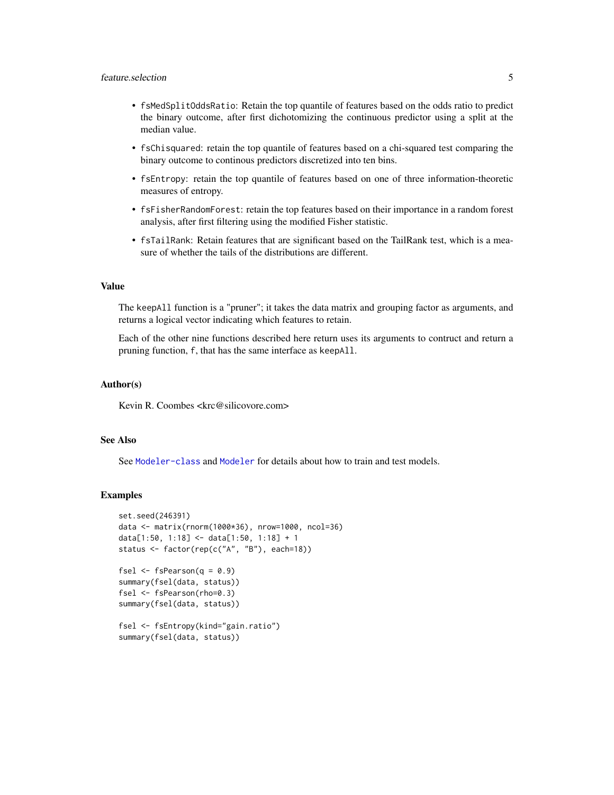- <span id="page-4-0"></span>• fsMedSplitOddsRatio: Retain the top quantile of features based on the odds ratio to predict the binary outcome, after first dichotomizing the continuous predictor using a split at the median value.
- fsChisquared: retain the top quantile of features based on a chi-squared test comparing the binary outcome to continous predictors discretized into ten bins.
- fsEntropy: retain the top quantile of features based on one of three information-theoretic measures of entropy.
- fsFisherRandomForest: retain the top features based on their importance in a random forest analysis, after first filtering using the modified Fisher statistic.
- fsTailRank: Retain features that are significant based on the TailRank test, which is a measure of whether the tails of the distributions are different.

# Value

The keepAll function is a "pruner"; it takes the data matrix and grouping factor as arguments, and returns a logical vector indicating which features to retain.

Each of the other nine functions described here return uses its arguments to contruct and return a pruning function, f, that has the same interface as keepAll.

#### Author(s)

Kevin R. Coombes <krc@silicovore.com>

#### See Also

See [Modeler-class](#page-31-1) and [Modeler](#page-29-1) for details about how to train and test models.

#### Examples

```
set.seed(246391)
data <- matrix(rnorm(1000*36), nrow=1000, ncol=36)
data[1:50, 1:18] <- data[1:50, 1:18] + 1
status <- factor(rep(c("A", "B"), each=18))
```

```
fsel \leq fsPearson(q = 0.9)
summary(fsel(data, status))
fsel <- fsPearson(rho=0.3)
summary(fsel(data, status))
```

```
fsel <- fsEntropy(kind="gain.ratio")
summary(fsel(data, status))
```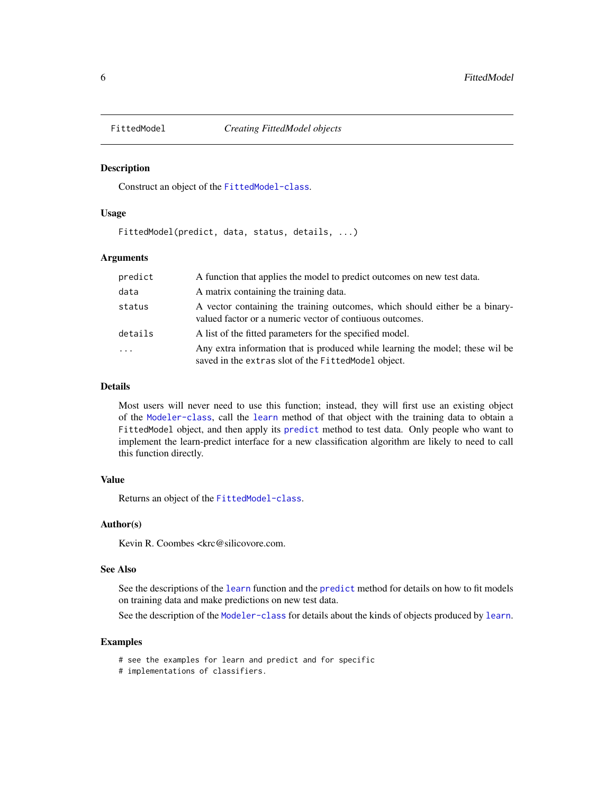<span id="page-5-1"></span><span id="page-5-0"></span>

#### Description

Construct an object of the [FittedModel-class](#page-6-1).

# Usage

FittedModel(predict, data, status, details, ...)

#### Arguments

| predict    | A function that applies the model to predict outcomes on new test data.                                                                 |
|------------|-----------------------------------------------------------------------------------------------------------------------------------------|
| data       | A matrix containing the training data.                                                                                                  |
| status     | A vector containing the training outcomes, which should either be a binary-<br>valued factor or a numeric vector of contiuous outcomes. |
| details    | A list of the fitted parameters for the specified model.                                                                                |
| $\ddots$ . | Any extra information that is produced while learning the model; these wil be<br>saved in the extras slot of the FittedModel object.    |

#### Details

Most users will never need to use this function; instead, they will first use an existing object of the [Modeler-class](#page-31-1), call the [learn](#page-7-1) method of that object with the training data to obtain a FittedModel object, and then apply its [predict](#page-0-0) method to test data. Only people who want to implement the learn-predict interface for a new classification algorithm are likely to need to call this function directly.

#### Value

Returns an object of the [FittedModel-class](#page-6-1).

# Author(s)

Kevin R. Coombes <krc@silicovore.com.

# See Also

See the descriptions of the [learn](#page-7-1) function and the [predict](#page-0-0) method for details on how to fit models on training data and make predictions on new test data.

See the description of the [Modeler-class](#page-31-1) for details about the kinds of objects produced by [learn](#page-7-1).

# Examples

- # see the examples for learn and predict and for specific
- # implementations of classifiers.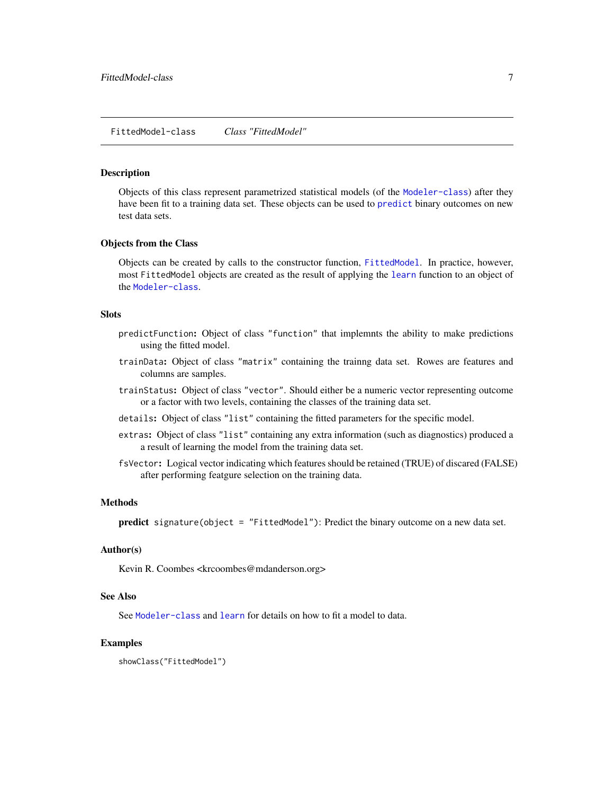#### <span id="page-6-1"></span><span id="page-6-0"></span>Description

Objects of this class represent parametrized statistical models (of the [Modeler-class](#page-31-1)) after they have been fit to a training data set. These objects can be used to [predict](#page-0-0) binary outcomes on new test data sets.

#### Objects from the Class

Objects can be created by calls to the constructor function, [FittedModel](#page-5-1). In practice, however, most FittedModel objects are created as the result of applying the [learn](#page-7-1) function to an object of the [Modeler-class](#page-31-1).

# **Slots**

- predictFunction: Object of class "function" that implemnts the ability to make predictions using the fitted model.
- trainData: Object of class "matrix" containing the trainng data set. Rowes are features and columns are samples.
- trainStatus: Object of class "vector". Should either be a numeric vector representing outcome or a factor with two levels, containing the classes of the training data set.
- details: Object of class "list" containing the fitted parameters for the specific model.
- extras: Object of class "list" containing any extra information (such as diagnostics) produced a a result of learning the model from the training data set.
- fsVector: Logical vector indicating which features should be retained (TRUE) of discared (FALSE) after performing featgure selection on the training data.

# Methods

predict signature(object = "FittedModel"): Predict the binary outcome on a new data set.

# Author(s)

Kevin R. Coombes <krcoombes@mdanderson.org>

#### See Also

See [Modeler-class](#page-31-1) and [learn](#page-7-1) for details on how to fit a model to data.

#### Examples

showClass("FittedModel")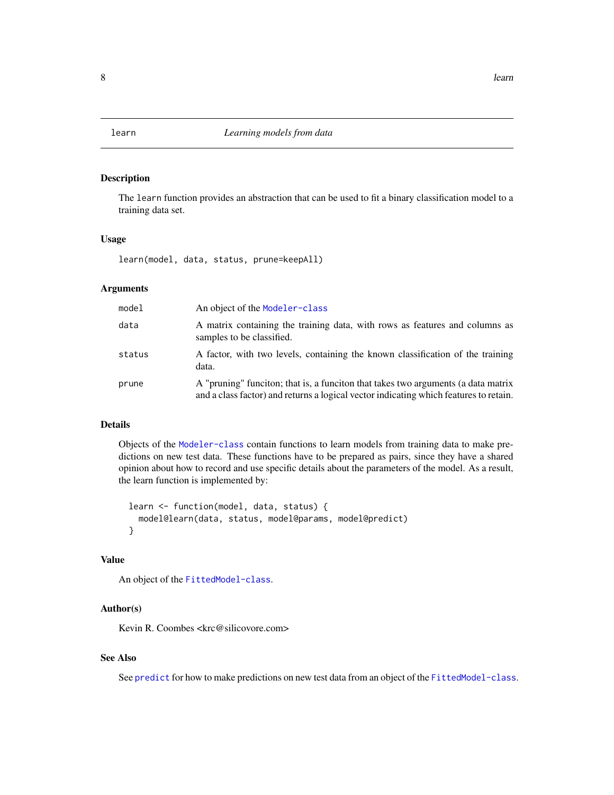<span id="page-7-1"></span><span id="page-7-0"></span>

# Description

The learn function provides an abstraction that can be used to fit a binary classification model to a training data set.

# Usage

learn(model, data, status, prune=keepAll)

# Arguments

| model  | An object of the Modeler-class                                                                                                                                             |
|--------|----------------------------------------------------------------------------------------------------------------------------------------------------------------------------|
| data   | A matrix containing the training data, with rows as features and columns as<br>samples to be classified.                                                                   |
| status | A factor, with two levels, containing the known classification of the training<br>data.                                                                                    |
| prune  | A "pruning" funciton; that is, a funciton that takes two arguments (a data matrix<br>and a class factor) and returns a logical vector indicating which features to retain. |

# Details

Objects of the [Modeler-class](#page-31-1) contain functions to learn models from training data to make predictions on new test data. These functions have to be prepared as pairs, since they have a shared opinion about how to record and use specific details about the parameters of the model. As a result, the learn function is implemented by:

```
learn <- function(model, data, status) {
 model@learn(data, status, model@params, model@predict)
}
```
# Value

An object of the [FittedModel-class](#page-6-1).

#### Author(s)

Kevin R. Coombes <krc@silicovore.com>

# See Also

See [predict](#page-0-0) for how to make predictions on new test data from an object of the [FittedModel-class](#page-6-1).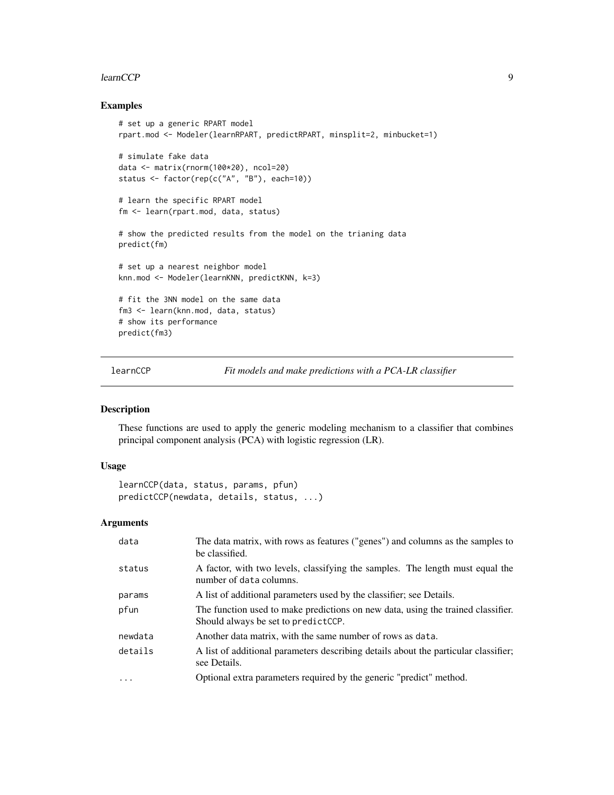#### <span id="page-8-0"></span>learnCCP 99

# Examples

```
# set up a generic RPART model
rpart.mod <- Modeler(learnRPART, predictRPART, minsplit=2, minbucket=1)
# simulate fake data
data <- matrix(rnorm(100*20), ncol=20)
status <- factor(rep(c("A", "B"), each=10))
# learn the specific RPART model
fm <- learn(rpart.mod, data, status)
# show the predicted results from the model on the trianing data
predict(fm)
# set up a nearest neighbor model
knn.mod <- Modeler(learnKNN, predictKNN, k=3)
# fit the 3NN model on the same data
fm3 <- learn(knn.mod, data, status)
# show its performance
predict(fm3)
```
learnCCP *Fit models and make predictions with a PCA-LR classifier*

# Description

These functions are used to apply the generic modeling mechanism to a classifier that combines principal component analysis (PCA) with logistic regression (LR).

# Usage

```
learnCCP(data, status, params, pfun)
predictCCP(newdata, details, status, ...)
```
# Arguments

| data     | The data matrix, with rows as features ("genes") and columns as the samples to<br>be classified.                        |
|----------|-------------------------------------------------------------------------------------------------------------------------|
| status   | A factor, with two levels, classifying the samples. The length must equal the<br>number of data columns.                |
| params   | A list of additional parameters used by the classifier; see Details.                                                    |
| pfun     | The function used to make predictions on new data, using the trained classifier.<br>Should always be set to predictCCP. |
| newdata  | Another data matrix, with the same number of rows as data.                                                              |
| details  | A list of additional parameters describing details about the particular classifier;<br>see Details.                     |
| $\cdots$ | Optional extra parameters required by the generic "predict" method.                                                     |
|          |                                                                                                                         |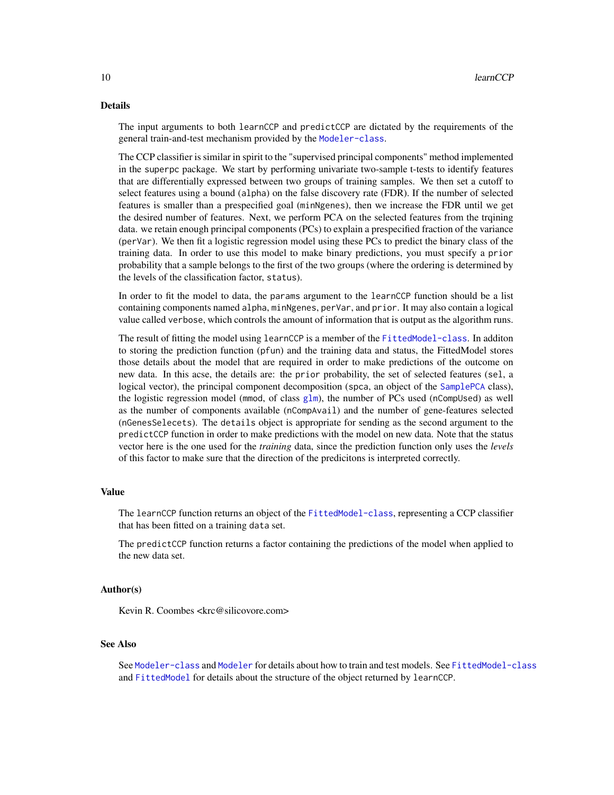# <span id="page-9-0"></span>Details

The input arguments to both learnCCP and predictCCP are dictated by the requirements of the general train-and-test mechanism provided by the [Modeler-class](#page-31-1).

The CCP classifier is similar in spirit to the "supervised principal components" method implemented in the superpc package. We start by performing univariate two-sample t-tests to identify features that are differentially expressed between two groups of training samples. We then set a cutoff to select features using a bound (alpha) on the false discovery rate (FDR). If the number of selected features is smaller than a prespecified goal (minNgenes), then we increase the FDR until we get the desired number of features. Next, we perform PCA on the selected features from the trqining data. we retain enough principal components (PCs) to explain a prespecified fraction of the variance (perVar). We then fit a logistic regression model using these PCs to predict the binary class of the training data. In order to use this model to make binary predictions, you must specify a prior probability that a sample belongs to the first of the two groups (where the ordering is determined by the levels of the classification factor, status).

In order to fit the model to data, the params argument to the learnCCP function should be a list containing components named alpha, minNgenes, perVar, and prior. It may also contain a logical value called verbose, which controls the amount of information that is output as the algorithm runs.

The result of fitting the model using learnCCP is a member of the [FittedModel-class](#page-6-1). In additon to storing the prediction function (pfun) and the training data and status, the FittedModel stores those details about the model that are required in order to make predictions of the outcome on new data. In this acse, the details are: the prior probability, the set of selected features (sel, a logical vector), the principal component decomposition (spca, an object of the [SamplePCA](#page-0-0) class), the logistic regression model (mmod, of class [glm](#page-0-0)), the number of PCs used (nCompUsed) as well as the number of components available (nCompAvail) and the number of gene-features selected (nGenesSelecets). The details object is appropriate for sending as the second argument to the predictCCP function in order to make predictions with the model on new data. Note that the status vector here is the one used for the *training* data, since the prediction function only uses the *levels* of this factor to make sure that the direction of the predicitons is interpreted correctly.

# Value

The learnCCP function returns an object of the [FittedModel-class](#page-6-1), representing a CCP classifier that has been fitted on a training data set.

The predictCCP function returns a factor containing the predictions of the model when applied to the new data set.

# Author(s)

Kevin R. Coombes <krc@silicovore.com>

# See Also

See [Modeler-class](#page-31-1) and [Modeler](#page-29-1) for details about how to train and test models. See [FittedModel-class](#page-6-1) and [FittedModel](#page-5-1) for details about the structure of the object returned by learnCCP.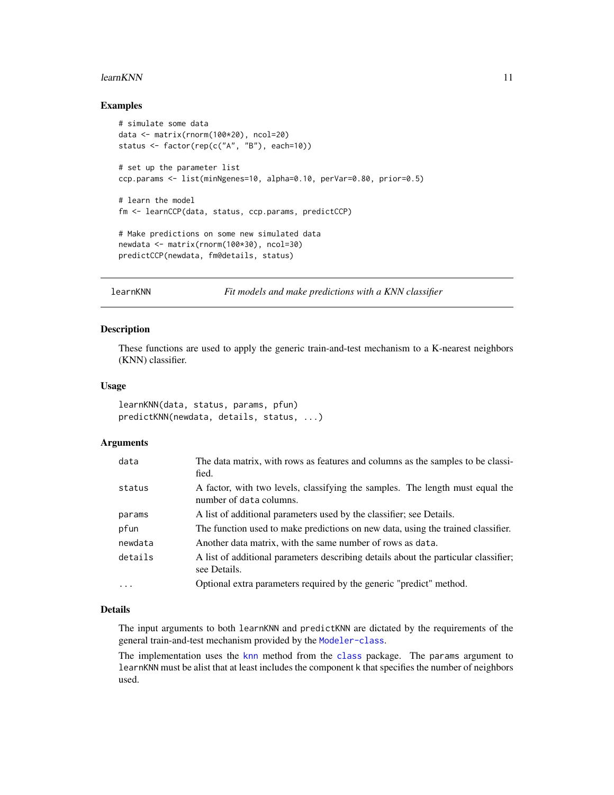#### <span id="page-10-0"></span>learn KNN  $11$

# Examples

```
# simulate some data
data <- matrix(rnorm(100*20), ncol=20)
status <- factor(rep(c("A", "B"), each=10))
# set up the parameter list
ccp.params <- list(minNgenes=10, alpha=0.10, perVar=0.80, prior=0.5)
# learn the model
fm <- learnCCP(data, status, ccp.params, predictCCP)
# Make predictions on some new simulated data
newdata <- matrix(rnorm(100*30), ncol=30)
predictCCP(newdata, fm@details, status)
```
learnKNN *Fit models and make predictions with a KNN classifier*

# Description

These functions are used to apply the generic train-and-test mechanism to a K-nearest neighbors (KNN) classifier.

# Usage

learnKNN(data, status, params, pfun) predictKNN(newdata, details, status, ...)

# Arguments

| data     | The data matrix, with rows as features and columns as the samples to be classi-<br>fied.                 |
|----------|----------------------------------------------------------------------------------------------------------|
| status   | A factor, with two levels, classifying the samples. The length must equal the<br>number of data columns. |
| params   | A list of additional parameters used by the classifier; see Details.                                     |
| pfun     | The function used to make predictions on new data, using the trained classifier.                         |
| newdata  | Another data matrix, with the same number of rows as data.                                               |
| details  | A list of additional parameters describing details about the particular classifier;<br>see Details.      |
| $\cdots$ | Optional extra parameters required by the generic "predict" method.                                      |

#### Details

The input arguments to both learnKNN and predictKNN are dictated by the requirements of the general train-and-test mechanism provided by the [Modeler-class](#page-31-1).

The implementation uses the [knn](#page-0-0) method from the [class](#page-0-0) package. The params argument to learnKNN must be alist that at least includes the component k that specifies the number of neighbors used.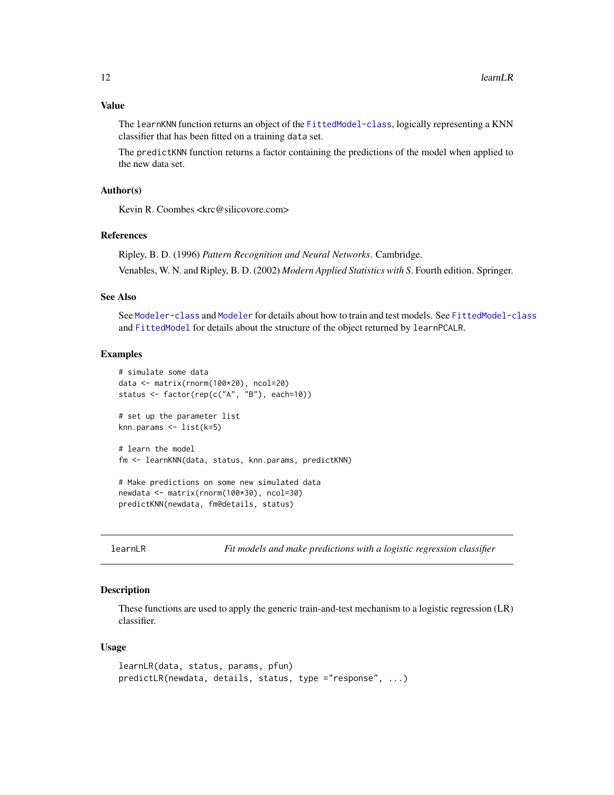<span id="page-11-0"></span>The learnKNN function returns an object of the [FittedModel-class](#page-6-1), logically representing a KNN classifier that has been fitted on a training data set.

The predictKNN function returns a factor containing the predictions of the model when applied to the new data set.

# Author(s)

Kevin R. Coombes <krc@silicovore.com>

# References

Ripley, B. D. (1996) *Pattern Recognition and Neural Networks*. Cambridge. Venables, W. N. and Ripley, B. D. (2002) *Modern Applied Statistics with S*. Fourth edition. Springer.

# See Also

See [Modeler-class](#page-31-1) and [Modeler](#page-29-1) for details about how to train and test models. See [FittedModel-class](#page-6-1) and [FittedModel](#page-5-1) for details about the structure of the object returned by learnPCALR.

# Examples

```
# simulate some data
data <- matrix(rnorm(100*20), ncol=20)
status <- factor(rep(c("A", "B"), each=10))
# set up the parameter list
knn.params <- list(k=5)
# learn the model
fm <- learnKNN(data, status, knn.params, predictKNN)
# Make predictions on some new simulated data
newdata <- matrix(rnorm(100*30), ncol=30)
predictKNN(newdata, fm@details, status)
```
learnLR *Fit models and make predictions with a logistic regression classifier*

# **Description**

These functions are used to apply the generic train-and-test mechanism to a logistic regression (LR) classifier.

```
learnLR(data, status, params, pfun)
predictLR(newdata, details, status, type ="response", ...)
```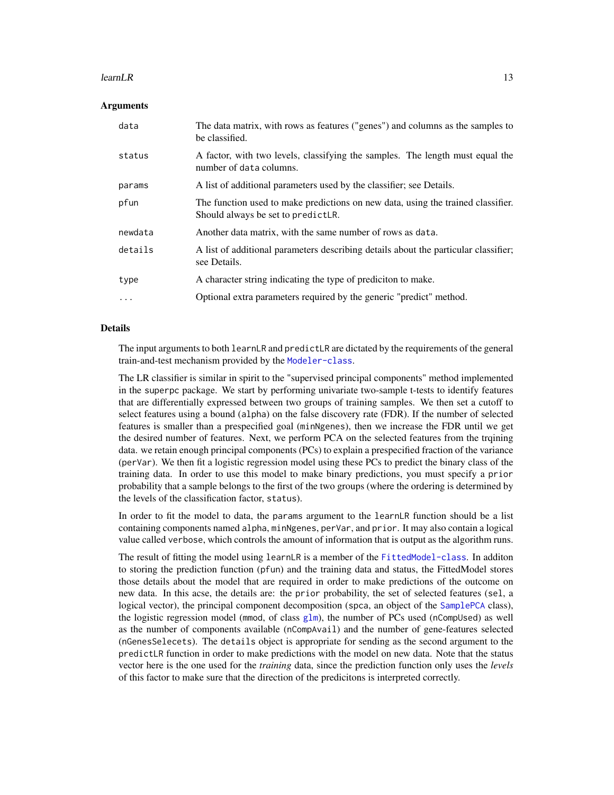#### <span id="page-12-0"></span> $l$ earn $LR$  13

# Arguments

| data     | The data matrix, with rows as features ("genes") and columns as the samples to<br>be classified.                       |
|----------|------------------------------------------------------------------------------------------------------------------------|
| status   | A factor, with two levels, classifying the samples. The length must equal the<br>number of data columns.               |
| params   | A list of additional parameters used by the classifier; see Details.                                                   |
| pfun     | The function used to make predictions on new data, using the trained classifier.<br>Should always be set to predictLR. |
| newdata  | Another data matrix, with the same number of rows as data.                                                             |
| details  | A list of additional parameters describing details about the particular classifier;<br>see Details.                    |
| type     | A character string indicating the type of prediciton to make.                                                          |
| $\cdots$ | Optional extra parameters required by the generic "predict" method.                                                    |

# Details

The input arguments to both learnLR and predictLR are dictated by the requirements of the general train-and-test mechanism provided by the [Modeler-class](#page-31-1).

The LR classifier is similar in spirit to the "supervised principal components" method implemented in the superpc package. We start by performing univariate two-sample t-tests to identify features that are differentially expressed between two groups of training samples. We then set a cutoff to select features using a bound (alpha) on the false discovery rate (FDR). If the number of selected features is smaller than a prespecified goal (minNgenes), then we increase the FDR until we get the desired number of features. Next, we perform PCA on the selected features from the trqining data. we retain enough principal components (PCs) to explain a prespecified fraction of the variance (perVar). We then fit a logistic regression model using these PCs to predict the binary class of the training data. In order to use this model to make binary predictions, you must specify a prior probability that a sample belongs to the first of the two groups (where the ordering is determined by the levels of the classification factor, status).

In order to fit the model to data, the params argument to the learnLR function should be a list containing components named alpha, minNgenes, perVar, and prior. It may also contain a logical value called verbose, which controls the amount of information that is output as the algorithm runs.

The result of fitting the model using learnLR is a member of the [FittedModel-class](#page-6-1). In additon to storing the prediction function (pfun) and the training data and status, the FittedModel stores those details about the model that are required in order to make predictions of the outcome on new data. In this acse, the details are: the prior probability, the set of selected features (sel, a logical vector), the principal component decomposition (spca, an object of the [SamplePCA](#page-0-0) class), the logistic regression model (mmod, of class  $g1m$ ), the number of PCs used (nCompUsed) as well as the number of components available (nCompAvail) and the number of gene-features selected (nGenesSelecets). The details object is appropriate for sending as the second argument to the predictLR function in order to make predictions with the model on new data. Note that the status vector here is the one used for the *training* data, since the prediction function only uses the *levels* of this factor to make sure that the direction of the predicitons is interpreted correctly.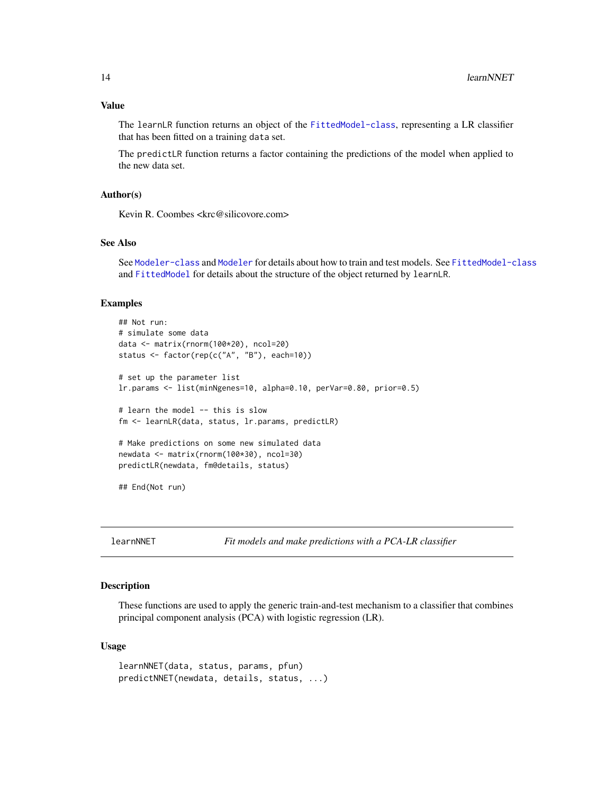# <span id="page-13-0"></span>Value

The learnLR function returns an object of the [FittedModel-class](#page-6-1), representing a LR classifier that has been fitted on a training data set.

The predictLR function returns a factor containing the predictions of the model when applied to the new data set.

# Author(s)

Kevin R. Coombes <krc@silicovore.com>

# See Also

See [Modeler-class](#page-31-1) and [Modeler](#page-29-1) for details about how to train and test models. See [FittedModel-class](#page-6-1) and [FittedModel](#page-5-1) for details about the structure of the object returned by learnLR.

# Examples

```
## Not run:
# simulate some data
data <- matrix(rnorm(100*20), ncol=20)
status <- factor(rep(c("A", "B"), each=10))
# set up the parameter list
lr.params <- list(minNgenes=10, alpha=0.10, perVar=0.80, prior=0.5)
# learn the model -- this is slow
fm <- learnLR(data, status, lr.params, predictLR)
# Make predictions on some new simulated data
newdata <- matrix(rnorm(100*30), ncol=30)
predictLR(newdata, fm@details, status)
## End(Not run)
```
learnNNET *Fit models and make predictions with a PCA-LR classifier*

#### Description

These functions are used to apply the generic train-and-test mechanism to a classifier that combines principal component analysis (PCA) with logistic regression (LR).

```
learnNNET(data, status, params, pfun)
predictNNET(newdata, details, status, ...)
```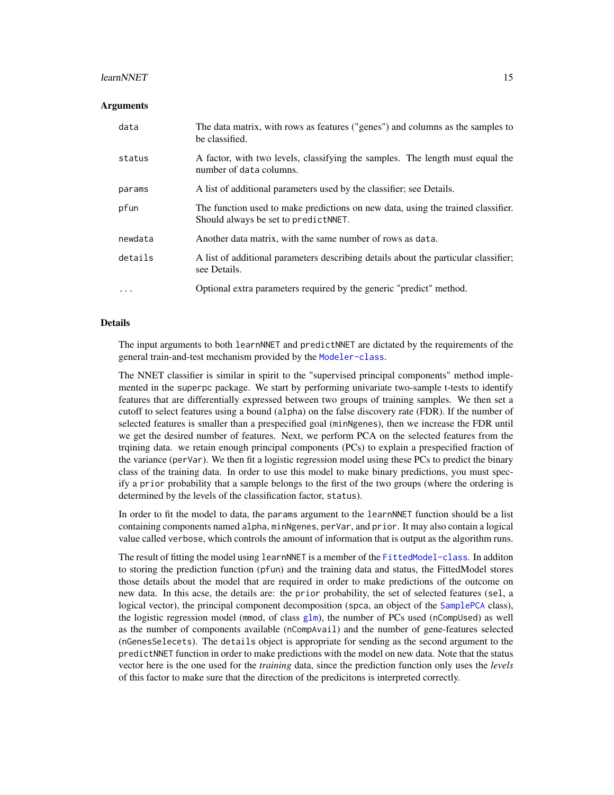#### <span id="page-14-0"></span>learnNNET 15

#### Arguments

| data     | The data matrix, with rows as features ("genes") and columns as the samples to<br>be classified.                          |
|----------|---------------------------------------------------------------------------------------------------------------------------|
| status   | A factor, with two levels, classifying the samples. The length must equal the<br>number of data columns.                  |
| params   | A list of additional parameters used by the classifier; see Details.                                                      |
| pfun     | The function used to make predictions on new data, using the trained classifier.<br>Should always be set to predict NNET. |
| newdata  | Another data matrix, with the same number of rows as data.                                                                |
| details  | A list of additional parameters describing details about the particular classifier;<br>see Details.                       |
| $\cdots$ | Optional extra parameters required by the generic "predict" method.                                                       |

# Details

The input arguments to both learnNNET and predictNNET are dictated by the requirements of the general train-and-test mechanism provided by the [Modeler-class](#page-31-1).

The NNET classifier is similar in spirit to the "supervised principal components" method implemented in the superpc package. We start by performing univariate two-sample t-tests to identify features that are differentially expressed between two groups of training samples. We then set a cutoff to select features using a bound (alpha) on the false discovery rate (FDR). If the number of selected features is smaller than a prespecified goal (minNgenes), then we increase the FDR until we get the desired number of features. Next, we perform PCA on the selected features from the trqining data. we retain enough principal components (PCs) to explain a prespecified fraction of the variance (perVar). We then fit a logistic regression model using these PCs to predict the binary class of the training data. In order to use this model to make binary predictions, you must specify a prior probability that a sample belongs to the first of the two groups (where the ordering is determined by the levels of the classification factor, status).

In order to fit the model to data, the params argument to the learnNNET function should be a list containing components named alpha, minNgenes, perVar, and prior. It may also contain a logical value called verbose, which controls the amount of information that is output as the algorithm runs.

The result of fitting the model using learnNNET is a member of the [FittedModel-class](#page-6-1). In additon to storing the prediction function (pfun) and the training data and status, the FittedModel stores those details about the model that are required in order to make predictions of the outcome on new data. In this acse, the details are: the prior probability, the set of selected features (sel, a logical vector), the principal component decomposition (spca, an object of the [SamplePCA](#page-0-0) class), the logistic regression model (mmod, of class  $g1m$ ), the number of PCs used (nCompUsed) as well as the number of components available (nCompAvail) and the number of gene-features selected (nGenesSelecets). The details object is appropriate for sending as the second argument to the predictNNET function in order to make predictions with the model on new data. Note that the status vector here is the one used for the *training* data, since the prediction function only uses the *levels* of this factor to make sure that the direction of the predicitons is interpreted correctly.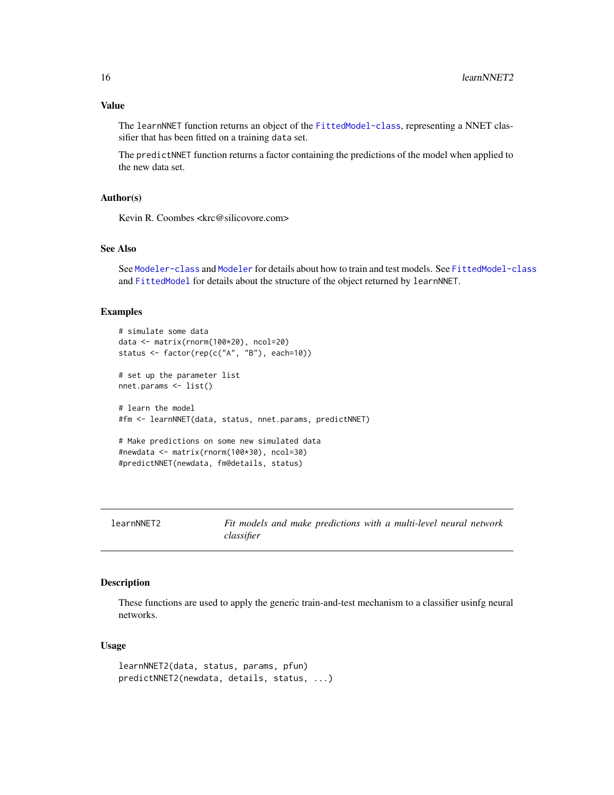<span id="page-15-0"></span>The learnNNET function returns an object of the [FittedModel-class](#page-6-1), representing a NNET classifier that has been fitted on a training data set.

The predictNNET function returns a factor containing the predictions of the model when applied to the new data set.

# Author(s)

Kevin R. Coombes <krc@silicovore.com>

# See Also

See [Modeler-class](#page-31-1) and [Modeler](#page-29-1) for details about how to train and test models. See [FittedModel-class](#page-6-1) and [FittedModel](#page-5-1) for details about the structure of the object returned by learnNNET.

#### Examples

```
# simulate some data
data <- matrix(rnorm(100*20), ncol=20)
status <- factor(rep(c("A", "B"), each=10))
# set up the parameter list
nnet.params <- list()
# learn the model
#fm <- learnNNET(data, status, nnet.params, predictNNET)
# Make predictions on some new simulated data
#newdata <- matrix(rnorm(100*30), ncol=30)
#predictNNET(newdata, fm@details, status)
```
learnNNET2 *Fit models and make predictions with a multi-level neural network classifier*

# Description

These functions are used to apply the generic train-and-test mechanism to a classifier usinfg neural networks.

```
learnNNET2(data, status, params, pfun)
predictNNET2(newdata, details, status, ...)
```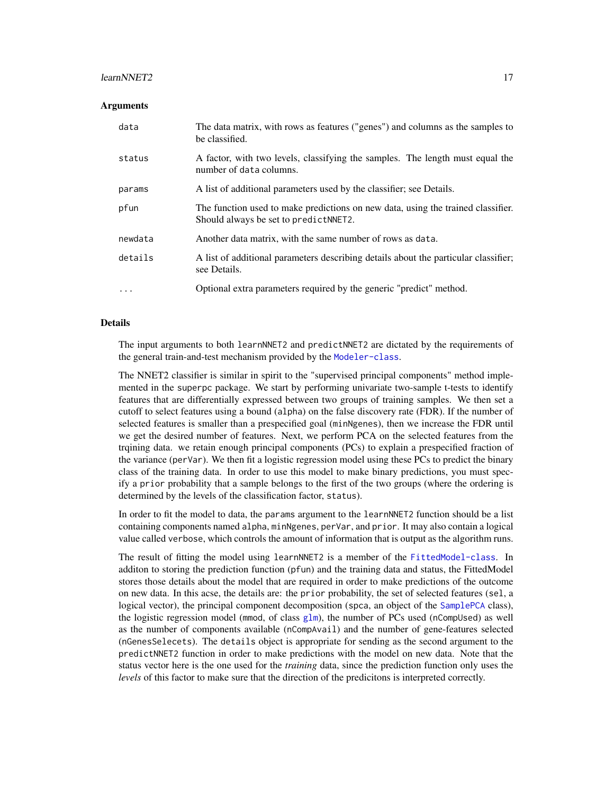#### <span id="page-16-0"></span>learnNNET2 17

#### **Arguments**

| data     | The data matrix, with rows as features ("genes") and columns as the samples to<br>be classified.                           |
|----------|----------------------------------------------------------------------------------------------------------------------------|
| status   | A factor, with two levels, classifying the samples. The length must equal the<br>number of data columns.                   |
| params   | A list of additional parameters used by the classifier; see Details.                                                       |
| pfun     | The function used to make predictions on new data, using the trained classifier.<br>Should always be set to predict NNET2. |
| newdata  | Another data matrix, with the same number of rows as data.                                                                 |
| details  | A list of additional parameters describing details about the particular classifier;<br>see Details.                        |
| $\cdots$ | Optional extra parameters required by the generic "predict" method.                                                        |

# Details

The input arguments to both learnNNET2 and predictNNET2 are dictated by the requirements of the general train-and-test mechanism provided by the [Modeler-class](#page-31-1).

The NNET2 classifier is similar in spirit to the "supervised principal components" method implemented in the superpc package. We start by performing univariate two-sample t-tests to identify features that are differentially expressed between two groups of training samples. We then set a cutoff to select features using a bound (alpha) on the false discovery rate (FDR). If the number of selected features is smaller than a prespecified goal (minNgenes), then we increase the FDR until we get the desired number of features. Next, we perform PCA on the selected features from the trqining data. we retain enough principal components (PCs) to explain a prespecified fraction of the variance (perVar). We then fit a logistic regression model using these PCs to predict the binary class of the training data. In order to use this model to make binary predictions, you must specify a prior probability that a sample belongs to the first of the two groups (where the ordering is determined by the levels of the classification factor, status).

In order to fit the model to data, the params argument to the learnNNET2 function should be a list containing components named alpha, minNgenes, perVar, and prior. It may also contain a logical value called verbose, which controls the amount of information that is output as the algorithm runs.

The result of fitting the model using learnNNET2 is a member of the [FittedModel-class](#page-6-1). In additon to storing the prediction function (pfun) and the training data and status, the FittedModel stores those details about the model that are required in order to make predictions of the outcome on new data. In this acse, the details are: the prior probability, the set of selected features (sel, a logical vector), the principal component decomposition (spca, an object of the [SamplePCA](#page-0-0) class), the logistic regression model (mmod, of class  $g1m$ ), the number of PCs used (nCompUsed) as well as the number of components available (nCompAvail) and the number of gene-features selected (nGenesSelecets). The details object is appropriate for sending as the second argument to the predictNNET2 function in order to make predictions with the model on new data. Note that the status vector here is the one used for the *training* data, since the prediction function only uses the *levels* of this factor to make sure that the direction of the predicitons is interpreted correctly.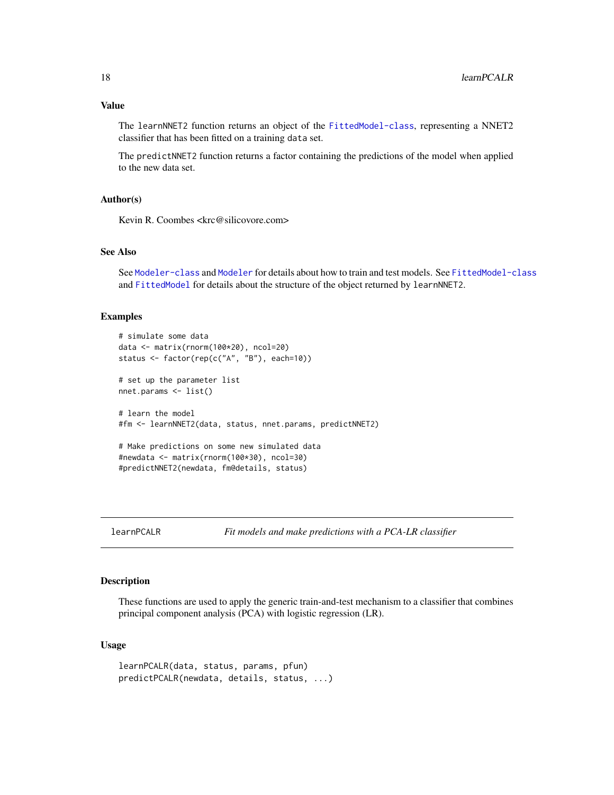<span id="page-17-0"></span>The learnNNET2 function returns an object of the [FittedModel-class](#page-6-1), representing a NNET2 classifier that has been fitted on a training data set.

The predictNNET2 function returns a factor containing the predictions of the model when applied to the new data set.

# Author(s)

Kevin R. Coombes <krc@silicovore.com>

# See Also

See [Modeler-class](#page-31-1) and [Modeler](#page-29-1) for details about how to train and test models. See [FittedModel-class](#page-6-1) and [FittedModel](#page-5-1) for details about the structure of the object returned by learnNNET2.

#### Examples

```
# simulate some data
data <- matrix(rnorm(100*20), ncol=20)
status <- factor(rep(c("A", "B"), each=10))
# set up the parameter list
nnet.params <- list()
# learn the model
#fm <- learnNNET2(data, status, nnet.params, predictNNET2)
# Make predictions on some new simulated data
#newdata <- matrix(rnorm(100*30), ncol=30)
#predictNNET2(newdata, fm@details, status)
```
learnPCALR *Fit models and make predictions with a PCA-LR classifier*

# Description

These functions are used to apply the generic train-and-test mechanism to a classifier that combines principal component analysis (PCA) with logistic regression (LR).

```
learnPCALR(data, status, params, pfun)
predictPCALR(newdata, details, status, ...)
```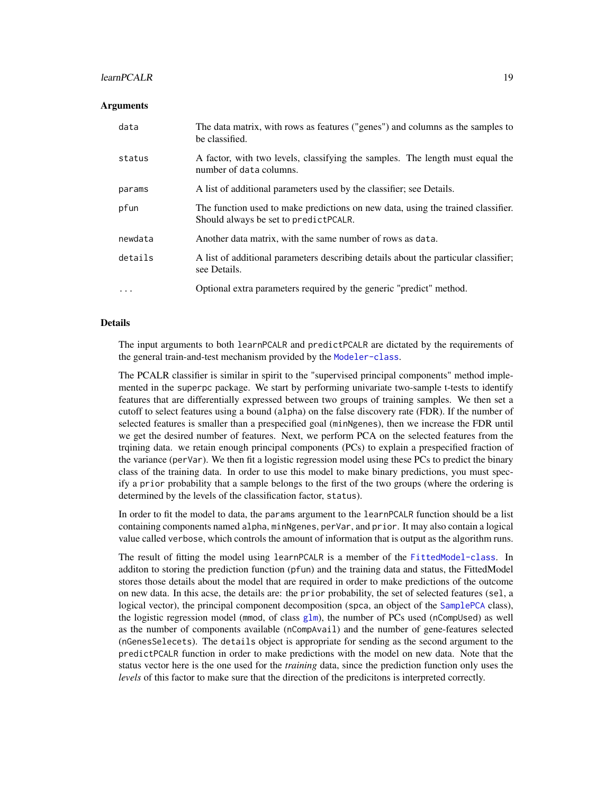#### <span id="page-18-0"></span>learnPCALR 19

#### **Arguments**

| data     | The data matrix, with rows as features ("genes") and columns as the samples to<br>be classified.                           |
|----------|----------------------------------------------------------------------------------------------------------------------------|
| status   | A factor, with two levels, classifying the samples. The length must equal the<br>number of data columns.                   |
| params   | A list of additional parameters used by the classifier; see Details.                                                       |
| pfun     | The function used to make predictions on new data, using the trained classifier.<br>Should always be set to predict PCALR. |
| newdata  | Another data matrix, with the same number of rows as data.                                                                 |
| details  | A list of additional parameters describing details about the particular classifier;<br>see Details.                        |
| $\cdots$ | Optional extra parameters required by the generic "predict" method.                                                        |

#### Details

The input arguments to both learnPCALR and predictPCALR are dictated by the requirements of the general train-and-test mechanism provided by the [Modeler-class](#page-31-1).

The PCALR classifier is similar in spirit to the "supervised principal components" method implemented in the superpc package. We start by performing univariate two-sample t-tests to identify features that are differentially expressed between two groups of training samples. We then set a cutoff to select features using a bound (alpha) on the false discovery rate (FDR). If the number of selected features is smaller than a prespecified goal (minNgenes), then we increase the FDR until we get the desired number of features. Next, we perform PCA on the selected features from the trqining data. we retain enough principal components (PCs) to explain a prespecified fraction of the variance (perVar). We then fit a logistic regression model using these PCs to predict the binary class of the training data. In order to use this model to make binary predictions, you must specify a prior probability that a sample belongs to the first of the two groups (where the ordering is determined by the levels of the classification factor, status).

In order to fit the model to data, the params argument to the learnPCALR function should be a list containing components named alpha, minNgenes, perVar, and prior. It may also contain a logical value called verbose, which controls the amount of information that is output as the algorithm runs.

The result of fitting the model using learnPCALR is a member of the [FittedModel-class](#page-6-1). In additon to storing the prediction function (pfun) and the training data and status, the FittedModel stores those details about the model that are required in order to make predictions of the outcome on new data. In this acse, the details are: the prior probability, the set of selected features (sel, a logical vector), the principal component decomposition (spca, an object of the [SamplePCA](#page-0-0) class), the logistic regression model (mmod, of class  $g1m$ ), the number of PCs used (nCompUsed) as well as the number of components available (nCompAvail) and the number of gene-features selected (nGenesSelecets). The details object is appropriate for sending as the second argument to the predictPCALR function in order to make predictions with the model on new data. Note that the status vector here is the one used for the *training* data, since the prediction function only uses the *levels* of this factor to make sure that the direction of the predicitons is interpreted correctly.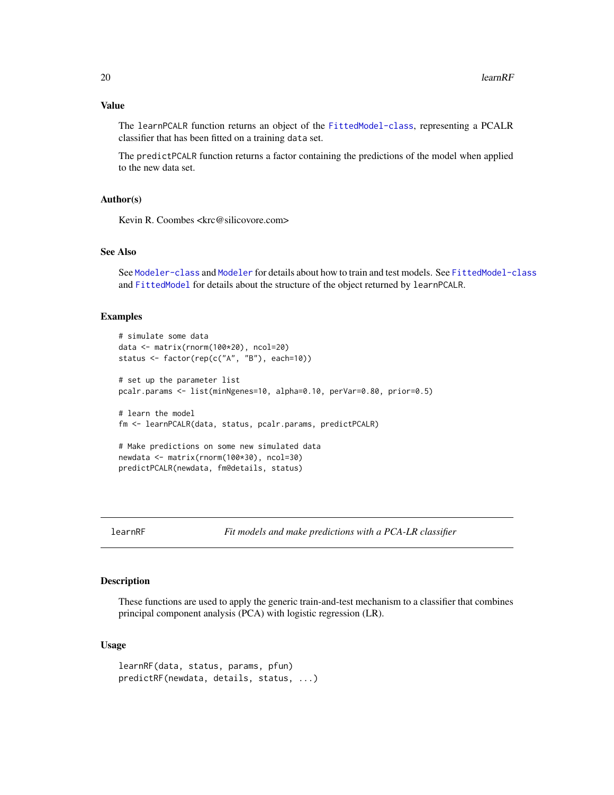# <span id="page-19-0"></span>Value

The learnPCALR function returns an object of the [FittedModel-class](#page-6-1), representing a PCALR classifier that has been fitted on a training data set.

The predictPCALR function returns a factor containing the predictions of the model when applied to the new data set.

# Author(s)

Kevin R. Coombes <krc@silicovore.com>

# See Also

See [Modeler-class](#page-31-1) and [Modeler](#page-29-1) for details about how to train and test models. See [FittedModel-class](#page-6-1) and [FittedModel](#page-5-1) for details about the structure of the object returned by learnPCALR.

#### Examples

```
# simulate some data
data <- matrix(rnorm(100*20), ncol=20)
status <- factor(rep(c("A", "B"), each=10))
# set up the parameter list
pcalr.params <- list(minNgenes=10, alpha=0.10, perVar=0.80, prior=0.5)
# learn the model
fm <- learnPCALR(data, status, pcalr.params, predictPCALR)
# Make predictions on some new simulated data
newdata <- matrix(rnorm(100*30), ncol=30)
predictPCALR(newdata, fm@details, status)
```
learnRF *Fit models and make predictions with a PCA-LR classifier*

# Description

These functions are used to apply the generic train-and-test mechanism to a classifier that combines principal component analysis (PCA) with logistic regression (LR).

```
learnRF(data, status, params, pfun)
predictRF(newdata, details, status, ...)
```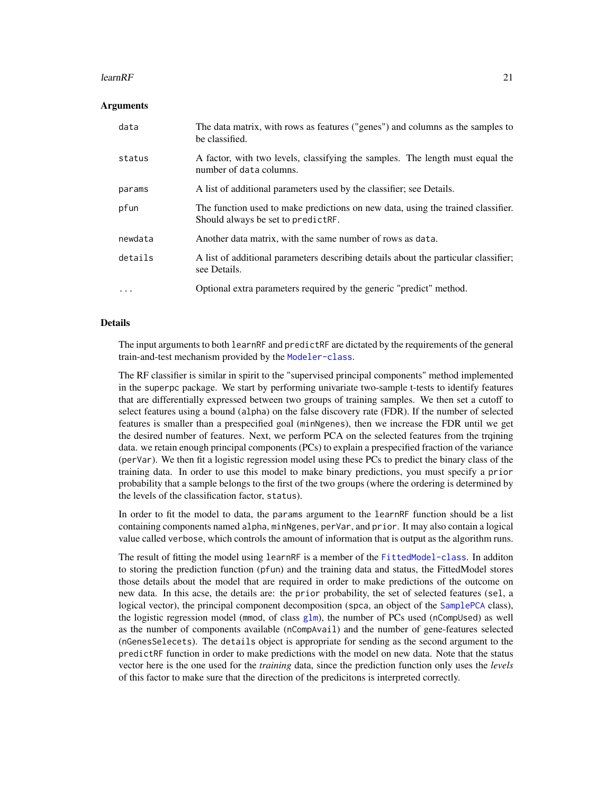#### <span id="page-20-0"></span>learn $RF$  21

# Arguments

| data     | The data matrix, with rows as features ("genes") and columns as the samples to<br>be classified.                       |
|----------|------------------------------------------------------------------------------------------------------------------------|
| status   | A factor, with two levels, classifying the samples. The length must equal the<br>number of data columns.               |
| params   | A list of additional parameters used by the classifier; see Details.                                                   |
| pfun     | The function used to make predictions on new data, using the trained classifier.<br>Should always be set to predictRF. |
| newdata  | Another data matrix, with the same number of rows as data.                                                             |
| details  | A list of additional parameters describing details about the particular classifier;<br>see Details.                    |
| $\cdots$ | Optional extra parameters required by the generic "predict" method.                                                    |

# Details

The input arguments to both learnRF and predictRF are dictated by the requirements of the general train-and-test mechanism provided by the [Modeler-class](#page-31-1).

The RF classifier is similar in spirit to the "supervised principal components" method implemented in the superpc package. We start by performing univariate two-sample t-tests to identify features that are differentially expressed between two groups of training samples. We then set a cutoff to select features using a bound (alpha) on the false discovery rate (FDR). If the number of selected features is smaller than a prespecified goal (minNgenes), then we increase the FDR until we get the desired number of features. Next, we perform PCA on the selected features from the trqining data. we retain enough principal components (PCs) to explain a prespecified fraction of the variance (perVar). We then fit a logistic regression model using these PCs to predict the binary class of the training data. In order to use this model to make binary predictions, you must specify a prior probability that a sample belongs to the first of the two groups (where the ordering is determined by the levels of the classification factor, status).

In order to fit the model to data, the params argument to the learnRF function should be a list containing components named alpha, minNgenes, perVar, and prior. It may also contain a logical value called verbose, which controls the amount of information that is output as the algorithm runs.

The result of fitting the model using learnRF is a member of the [FittedModel-class](#page-6-1). In additon to storing the prediction function (pfun) and the training data and status, the FittedModel stores those details about the model that are required in order to make predictions of the outcome on new data. In this acse, the details are: the prior probability, the set of selected features (sel, a logical vector), the principal component decomposition (spca, an object of the [SamplePCA](#page-0-0) class), the logistic regression model (mmod, of class  $g1m$ ), the number of PCs used (nCompUsed) as well as the number of components available (nCompAvail) and the number of gene-features selected (nGenesSelecets). The details object is appropriate for sending as the second argument to the predictRF function in order to make predictions with the model on new data. Note that the status vector here is the one used for the *training* data, since the prediction function only uses the *levels* of this factor to make sure that the direction of the predicitons is interpreted correctly.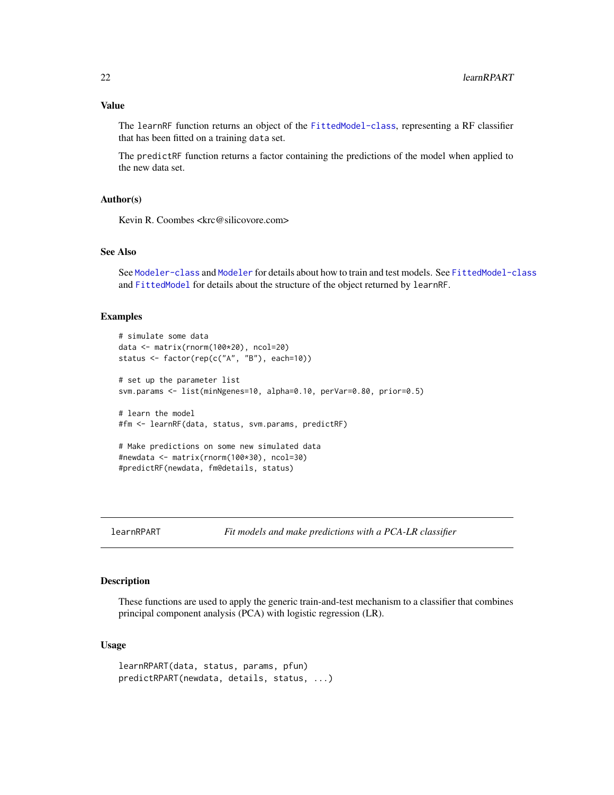<span id="page-21-0"></span>The learnRF function returns an object of the [FittedModel-class](#page-6-1), representing a RF classifier that has been fitted on a training data set.

The predictRF function returns a factor containing the predictions of the model when applied to the new data set.

# Author(s)

Kevin R. Coombes <krc@silicovore.com>

#### See Also

See [Modeler-class](#page-31-1) and [Modeler](#page-29-1) for details about how to train and test models. See [FittedModel-class](#page-6-1) and [FittedModel](#page-5-1) for details about the structure of the object returned by learnRF.

#### Examples

```
# simulate some data
data <- matrix(rnorm(100*20), ncol=20)
status <- factor(rep(c("A", "B"), each=10))
# set up the parameter list
svm.params <- list(minNgenes=10, alpha=0.10, perVar=0.80, prior=0.5)
# learn the model
#fm <- learnRF(data, status, svm.params, predictRF)
# Make predictions on some new simulated data
#newdata <- matrix(rnorm(100*30), ncol=30)
#predictRF(newdata, fm@details, status)
```
learnRPART *Fit models and make predictions with a PCA-LR classifier*

# Description

These functions are used to apply the generic train-and-test mechanism to a classifier that combines principal component analysis (PCA) with logistic regression (LR).

```
learnRPART(data, status, params, pfun)
predictRPART(newdata, details, status, ...)
```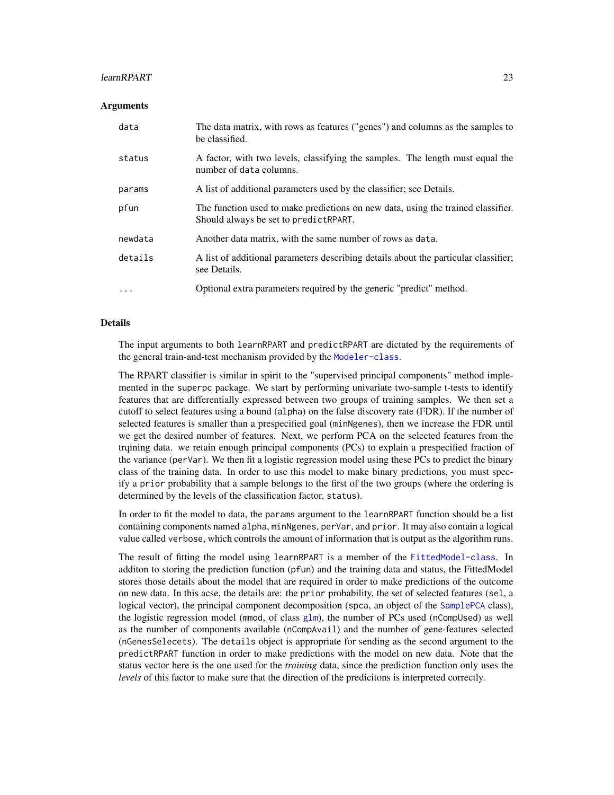#### <span id="page-22-0"></span>learnRPART 23

# **Arguments**

| data     | The data matrix, with rows as features ("genes") and columns as the samples to<br>be classified.                           |
|----------|----------------------------------------------------------------------------------------------------------------------------|
| status   | A factor, with two levels, classifying the samples. The length must equal the<br>number of data columns.                   |
| params   | A list of additional parameters used by the classifier; see Details.                                                       |
| pfun     | The function used to make predictions on new data, using the trained classifier.<br>Should always be set to predict RPART. |
| newdata  | Another data matrix, with the same number of rows as data.                                                                 |
| details  | A list of additional parameters describing details about the particular classifier;<br>see Details.                        |
| $\cdots$ | Optional extra parameters required by the generic "predict" method.                                                        |

# Details

The input arguments to both learnRPART and predictRPART are dictated by the requirements of the general train-and-test mechanism provided by the [Modeler-class](#page-31-1).

The RPART classifier is similar in spirit to the "supervised principal components" method implemented in the superpc package. We start by performing univariate two-sample t-tests to identify features that are differentially expressed between two groups of training samples. We then set a cutoff to select features using a bound (alpha) on the false discovery rate (FDR). If the number of selected features is smaller than a prespecified goal (minNgenes), then we increase the FDR until we get the desired number of features. Next, we perform PCA on the selected features from the trqining data. we retain enough principal components (PCs) to explain a prespecified fraction of the variance (perVar). We then fit a logistic regression model using these PCs to predict the binary class of the training data. In order to use this model to make binary predictions, you must specify a prior probability that a sample belongs to the first of the two groups (where the ordering is determined by the levels of the classification factor, status).

In order to fit the model to data, the params argument to the learnRPART function should be a list containing components named alpha, minNgenes, perVar, and prior. It may also contain a logical value called verbose, which controls the amount of information that is output as the algorithm runs.

The result of fitting the model using learnRPART is a member of the [FittedModel-class](#page-6-1). In additon to storing the prediction function (pfun) and the training data and status, the FittedModel stores those details about the model that are required in order to make predictions of the outcome on new data. In this acse, the details are: the prior probability, the set of selected features (sel, a logical vector), the principal component decomposition (spca, an object of the [SamplePCA](#page-0-0) class), the logistic regression model (mmod, of class  $g1m$ ), the number of PCs used (nCompUsed) as well as the number of components available (nCompAvail) and the number of gene-features selected (nGenesSelecets). The details object is appropriate for sending as the second argument to the predictRPART function in order to make predictions with the model on new data. Note that the status vector here is the one used for the *training* data, since the prediction function only uses the *levels* of this factor to make sure that the direction of the predicitons is interpreted correctly.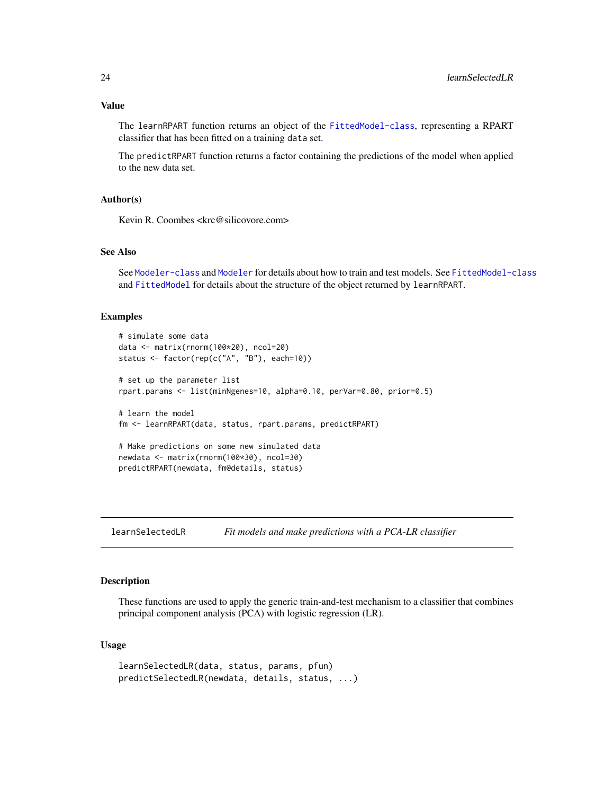<span id="page-23-0"></span>The learnRPART function returns an object of the [FittedModel-class](#page-6-1), representing a RPART classifier that has been fitted on a training data set.

The predictRPART function returns a factor containing the predictions of the model when applied to the new data set.

# Author(s)

Kevin R. Coombes <krc@silicovore.com>

# See Also

See [Modeler-class](#page-31-1) and [Modeler](#page-29-1) for details about how to train and test models. See [FittedModel-class](#page-6-1) and [FittedModel](#page-5-1) for details about the structure of the object returned by learnRPART.

#### Examples

```
# simulate some data
data <- matrix(rnorm(100*20), ncol=20)
status <- factor(rep(c("A", "B"), each=10))
# set up the parameter list
rpart.params <- list(minNgenes=10, alpha=0.10, perVar=0.80, prior=0.5)
# learn the model
fm <- learnRPART(data, status, rpart.params, predictRPART)
# Make predictions on some new simulated data
newdata <- matrix(rnorm(100*30), ncol=30)
predictRPART(newdata, fm@details, status)
```
learnSelectedLR *Fit models and make predictions with a PCA-LR classifier*

# Description

These functions are used to apply the generic train-and-test mechanism to a classifier that combines principal component analysis (PCA) with logistic regression (LR).

```
learnSelectedLR(data, status, params, pfun)
predictSelectedLR(newdata, details, status, ...)
```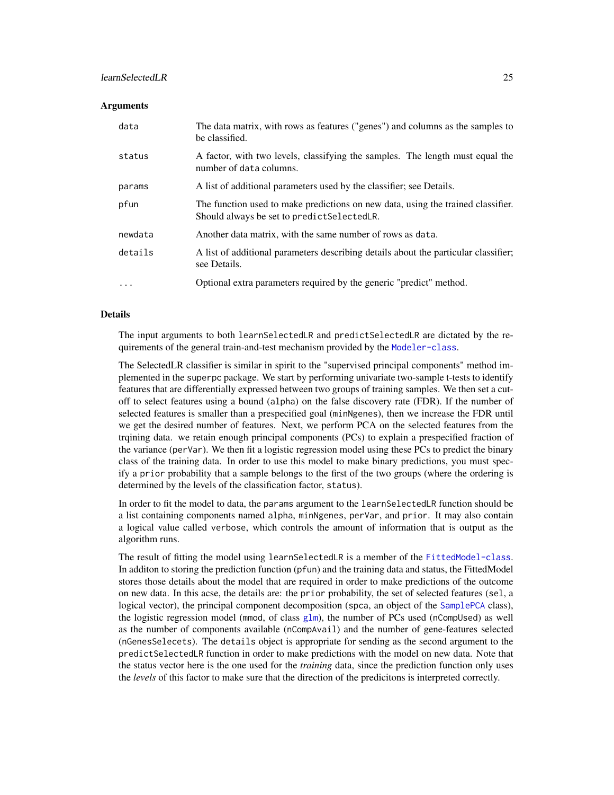# <span id="page-24-0"></span>learnSelectedLR 25

#### Arguments

| data     | The data matrix, with rows as features ("genes") and columns as the samples to<br>be classified.                                |
|----------|---------------------------------------------------------------------------------------------------------------------------------|
| status   | A factor, with two levels, classifying the samples. The length must equal the<br>number of data columns.                        |
| params   | A list of additional parameters used by the classifier; see Details.                                                            |
| pfun     | The function used to make predictions on new data, using the trained classifier.<br>Should always be set to predict SelectedLR. |
| newdata  | Another data matrix, with the same number of rows as data.                                                                      |
| details  | A list of additional parameters describing details about the particular classifier;<br>see Details.                             |
| $\cdots$ | Optional extra parameters required by the generic "predict" method.                                                             |

# Details

The input arguments to both learnSelectedLR and predictSelectedLR are dictated by the requirements of the general train-and-test mechanism provided by the [Modeler-class](#page-31-1).

The SelectedLR classifier is similar in spirit to the "supervised principal components" method implemented in the superpc package. We start by performing univariate two-sample t-tests to identify features that are differentially expressed between two groups of training samples. We then set a cutoff to select features using a bound (alpha) on the false discovery rate (FDR). If the number of selected features is smaller than a prespecified goal (minNgenes), then we increase the FDR until we get the desired number of features. Next, we perform PCA on the selected features from the trqining data. we retain enough principal components (PCs) to explain a prespecified fraction of the variance (perVar). We then fit a logistic regression model using these PCs to predict the binary class of the training data. In order to use this model to make binary predictions, you must specify a prior probability that a sample belongs to the first of the two groups (where the ordering is determined by the levels of the classification factor, status).

In order to fit the model to data, the params argument to the learnSelectedLR function should be a list containing components named alpha, minNgenes, perVar, and prior. It may also contain a logical value called verbose, which controls the amount of information that is output as the algorithm runs.

The result of fitting the model using learnSelectedLR is a member of the [FittedModel-class](#page-6-1). In additon to storing the prediction function (pfun) and the training data and status, the FittedModel stores those details about the model that are required in order to make predictions of the outcome on new data. In this acse, the details are: the prior probability, the set of selected features (sel, a logical vector), the principal component decomposition (spca, an object of the [SamplePCA](#page-0-0) class), the logistic regression model (mmod, of class  $g1m$ ), the number of PCs used (nCompUsed) as well as the number of components available (nCompAvail) and the number of gene-features selected (nGenesSelecets). The details object is appropriate for sending as the second argument to the predictSelectedLR function in order to make predictions with the model on new data. Note that the status vector here is the one used for the *training* data, since the prediction function only uses the *levels* of this factor to make sure that the direction of the predicitons is interpreted correctly.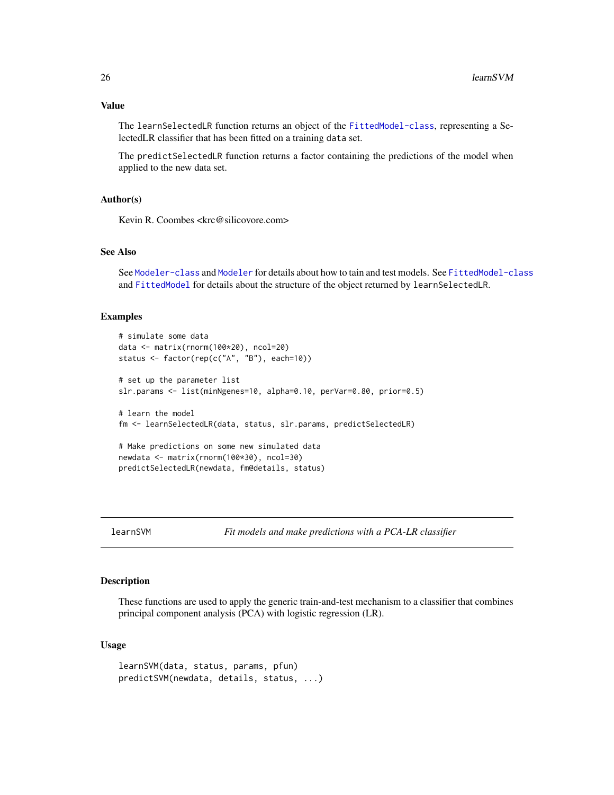<span id="page-25-0"></span>The learnSelectedLR function returns an object of the [FittedModel-class](#page-6-1), representing a SelectedLR classifier that has been fitted on a training data set.

The predictSelectedLR function returns a factor containing the predictions of the model when applied to the new data set.

# Author(s)

Kevin R. Coombes <krc@silicovore.com>

# See Also

See [Modeler-class](#page-31-1) and [Modeler](#page-29-1) for details about how to tain and test models. See [FittedModel-class](#page-6-1) and [FittedModel](#page-5-1) for details about the structure of the object returned by learnSelectedLR.

#### Examples

```
# simulate some data
data <- matrix(rnorm(100*20), ncol=20)
status <- factor(rep(c("A", "B"), each=10))
# set up the parameter list
slr.params <- list(minNgenes=10, alpha=0.10, perVar=0.80, prior=0.5)
# learn the model
fm <- learnSelectedLR(data, status, slr.params, predictSelectedLR)
# Make predictions on some new simulated data
newdata <- matrix(rnorm(100*30), ncol=30)
predictSelectedLR(newdata, fm@details, status)
```
learnSVM *Fit models and make predictions with a PCA-LR classifier*

# Description

These functions are used to apply the generic train-and-test mechanism to a classifier that combines principal component analysis (PCA) with logistic regression (LR).

# Usage

learnSVM(data, status, params, pfun) predictSVM(newdata, details, status, ...)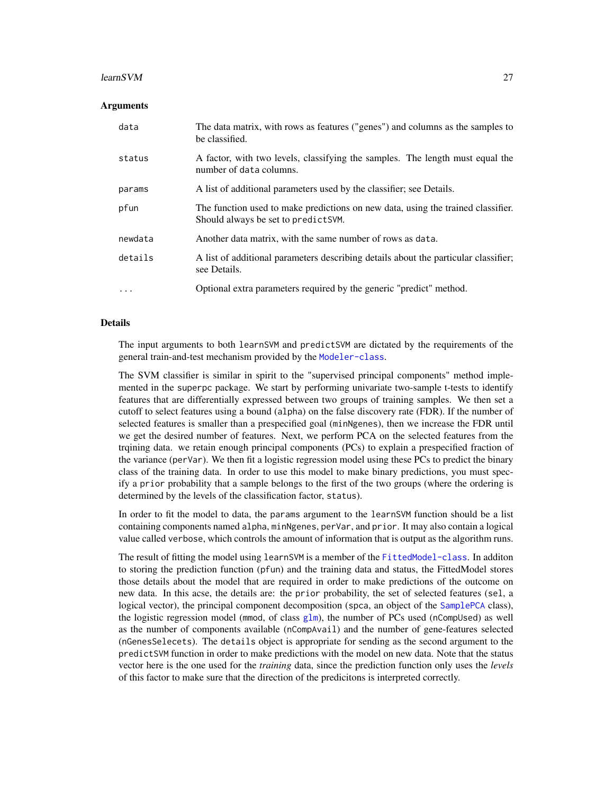#### <span id="page-26-0"></span>learnSVM 27

#### Arguments

| data     | The data matrix, with rows as features ("genes") and columns as the samples to<br>be classified.                         |
|----------|--------------------------------------------------------------------------------------------------------------------------|
| status   | A factor, with two levels, classifying the samples. The length must equal the<br>number of data columns.                 |
| params   | A list of additional parameters used by the classifier; see Details.                                                     |
| pfun     | The function used to make predictions on new data, using the trained classifier.<br>Should always be set to predict SVM. |
| newdata  | Another data matrix, with the same number of rows as data.                                                               |
| details  | A list of additional parameters describing details about the particular classifier;<br>see Details.                      |
| $\cdots$ | Optional extra parameters required by the generic "predict" method.                                                      |

#### Details

The input arguments to both learnSVM and predictSVM are dictated by the requirements of the general train-and-test mechanism provided by the [Modeler-class](#page-31-1).

The SVM classifier is similar in spirit to the "supervised principal components" method implemented in the superpc package. We start by performing univariate two-sample t-tests to identify features that are differentially expressed between two groups of training samples. We then set a cutoff to select features using a bound (alpha) on the false discovery rate (FDR). If the number of selected features is smaller than a prespecified goal (minNgenes), then we increase the FDR until we get the desired number of features. Next, we perform PCA on the selected features from the trqining data. we retain enough principal components (PCs) to explain a prespecified fraction of the variance (perVar). We then fit a logistic regression model using these PCs to predict the binary class of the training data. In order to use this model to make binary predictions, you must specify a prior probability that a sample belongs to the first of the two groups (where the ordering is determined by the levels of the classification factor, status).

In order to fit the model to data, the params argument to the learnSVM function should be a list containing components named alpha, minNgenes, perVar, and prior. It may also contain a logical value called verbose, which controls the amount of information that is output as the algorithm runs.

The result of fitting the model using learnSVM is a member of the [FittedModel-class](#page-6-1). In additon to storing the prediction function (pfun) and the training data and status, the FittedModel stores those details about the model that are required in order to make predictions of the outcome on new data. In this acse, the details are: the prior probability, the set of selected features (sel, a logical vector), the principal component decomposition (spca, an object of the [SamplePCA](#page-0-0) class), the logistic regression model (mmod, of class  $g1m$ ), the number of PCs used (nCompUsed) as well as the number of components available (nCompAvail) and the number of gene-features selected (nGenesSelecets). The details object is appropriate for sending as the second argument to the predictSVM function in order to make predictions with the model on new data. Note that the status vector here is the one used for the *training* data, since the prediction function only uses the *levels* of this factor to make sure that the direction of the predicitons is interpreted correctly.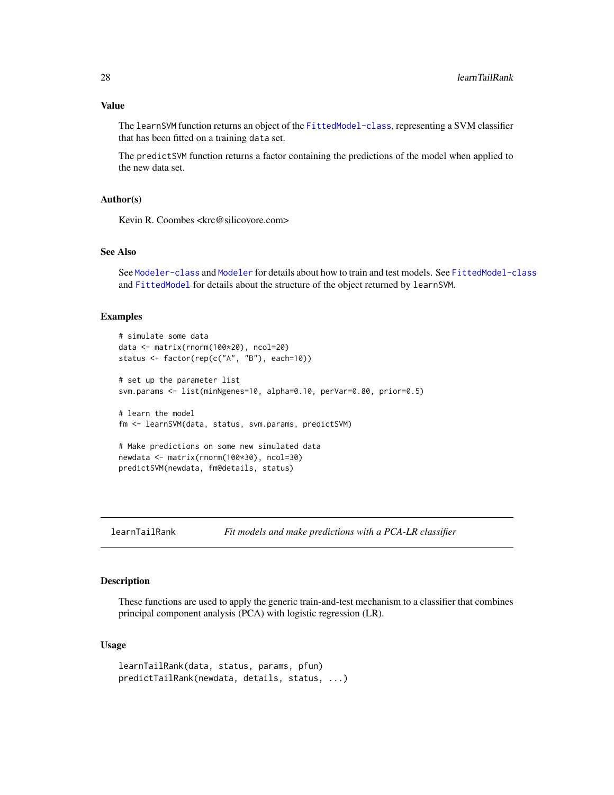<span id="page-27-0"></span>The learnSVM function returns an object of the [FittedModel-class](#page-6-1), representing a SVM classifier that has been fitted on a training data set.

The predictSVM function returns a factor containing the predictions of the model when applied to the new data set.

# Author(s)

Kevin R. Coombes <krc@silicovore.com>

#### See Also

See [Modeler-class](#page-31-1) and [Modeler](#page-29-1) for details about how to train and test models. See [FittedModel-class](#page-6-1) and [FittedModel](#page-5-1) for details about the structure of the object returned by learnSVM.

#### Examples

```
# simulate some data
data <- matrix(rnorm(100*20), ncol=20)
status <- factor(rep(c("A", "B"), each=10))
# set up the parameter list
svm.params <- list(minNgenes=10, alpha=0.10, perVar=0.80, prior=0.5)
# learn the model
fm <- learnSVM(data, status, svm.params, predictSVM)
# Make predictions on some new simulated data
newdata <- matrix(rnorm(100*30), ncol=30)
predictSVM(newdata, fm@details, status)
```
learnTailRank *Fit models and make predictions with a PCA-LR classifier*

# Description

These functions are used to apply the generic train-and-test mechanism to a classifier that combines principal component analysis (PCA) with logistic regression (LR).

```
learnTailRank(data, status, params, pfun)
predictTailRank(newdata, details, status, ...)
```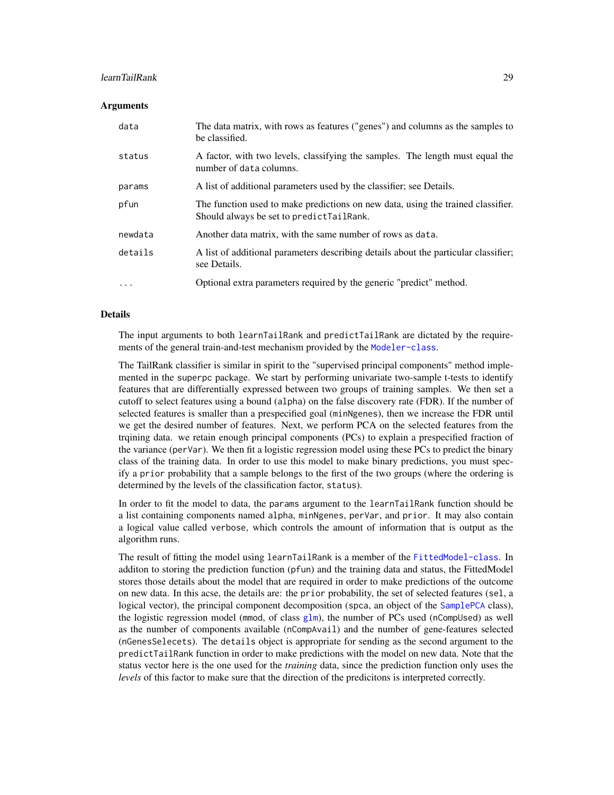# <span id="page-28-0"></span>learnTailRank 29

#### **Arguments**

| data     | The data matrix, with rows as features ("genes") and columns as the samples to<br>be classified.                             |
|----------|------------------------------------------------------------------------------------------------------------------------------|
| status   | A factor, with two levels, classifying the samples. The length must equal the<br>number of data columns.                     |
| params   | A list of additional parameters used by the classifier; see Details.                                                         |
| pfun     | The function used to make predictions on new data, using the trained classifier.<br>Should always be set to predictTailRank. |
| newdata  | Another data matrix, with the same number of rows as data.                                                                   |
| details  | A list of additional parameters describing details about the particular classifier;<br>see Details.                          |
| $\cdots$ | Optional extra parameters required by the generic "predict" method.                                                          |

# Details

The input arguments to both learnTailRank and predictTailRank are dictated by the require-ments of the general train-and-test mechanism provided by the [Modeler-class](#page-31-1).

The TailRank classifier is similar in spirit to the "supervised principal components" method implemented in the superpc package. We start by performing univariate two-sample t-tests to identify features that are differentially expressed between two groups of training samples. We then set a cutoff to select features using a bound (alpha) on the false discovery rate (FDR). If the number of selected features is smaller than a prespecified goal (minNgenes), then we increase the FDR until we get the desired number of features. Next, we perform PCA on the selected features from the trqining data. we retain enough principal components (PCs) to explain a prespecified fraction of the variance (perVar). We then fit a logistic regression model using these PCs to predict the binary class of the training data. In order to use this model to make binary predictions, you must specify a prior probability that a sample belongs to the first of the two groups (where the ordering is determined by the levels of the classification factor, status).

In order to fit the model to data, the params argument to the learnTailRank function should be a list containing components named alpha, minNgenes, perVar, and prior. It may also contain a logical value called verbose, which controls the amount of information that is output as the algorithm runs.

The result of fitting the model using learnTailRank is a member of the [FittedModel-class](#page-6-1). In additon to storing the prediction function (pfun) and the training data and status, the FittedModel stores those details about the model that are required in order to make predictions of the outcome on new data. In this acse, the details are: the prior probability, the set of selected features (sel, a logical vector), the principal component decomposition (spca, an object of the [SamplePCA](#page-0-0) class), the logistic regression model (mmod, of class  $g1m$ ), the number of PCs used (nCompUsed) as well as the number of components available (nCompAvail) and the number of gene-features selected (nGenesSelecets). The details object is appropriate for sending as the second argument to the predictTailRank function in order to make predictions with the model on new data. Note that the status vector here is the one used for the *training* data, since the prediction function only uses the *levels* of this factor to make sure that the direction of the predicitons is interpreted correctly.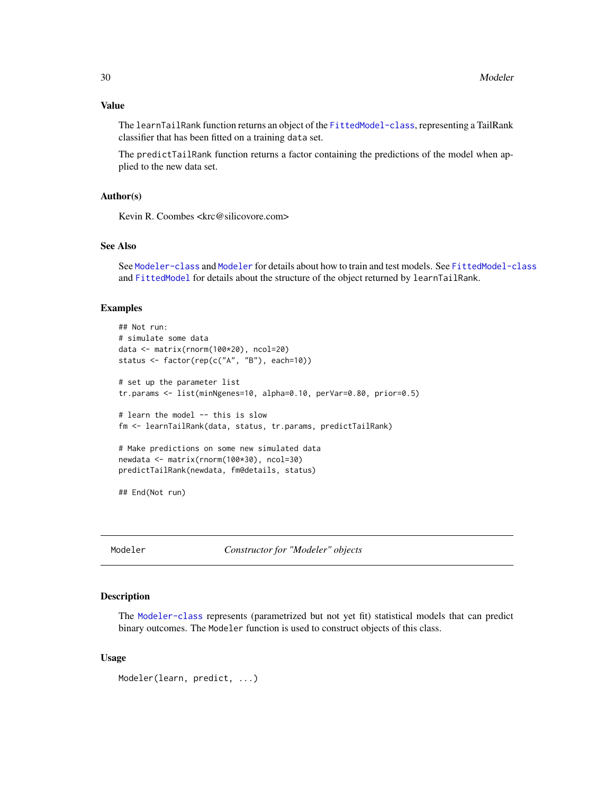<span id="page-29-0"></span>The learnTailRank function returns an object of the [FittedModel-class](#page-6-1), representing a TailRank classifier that has been fitted on a training data set.

The predictTailRank function returns a factor containing the predictions of the model when applied to the new data set.

# Author(s)

Kevin R. Coombes <krc@silicovore.com>

# See Also

See [Modeler-class](#page-31-1) and [Modeler](#page-29-1) for details about how to train and test models. See [FittedModel-class](#page-6-1) and [FittedModel](#page-5-1) for details about the structure of the object returned by learnTailRank.

#### Examples

```
## Not run:
# simulate some data
data <- matrix(rnorm(100*20), ncol=20)
status <- factor(rep(c("A", "B"), each=10))
# set up the parameter list
tr.params <- list(minNgenes=10, alpha=0.10, perVar=0.80, prior=0.5)
# learn the model -- this is slow
fm <- learnTailRank(data, status, tr.params, predictTailRank)
# Make predictions on some new simulated data
newdata <- matrix(rnorm(100*30), ncol=30)
predictTailRank(newdata, fm@details, status)
## End(Not run)
```
<span id="page-29-1"></span>Modeler *Constructor for "Modeler" objects*

#### Description

The [Modeler-class](#page-31-1) represents (parametrized but not yet fit) statistical models that can predict binary outcomes. The Modeler function is used to construct objects of this class.

#### Usage

Modeler(learn, predict, ...)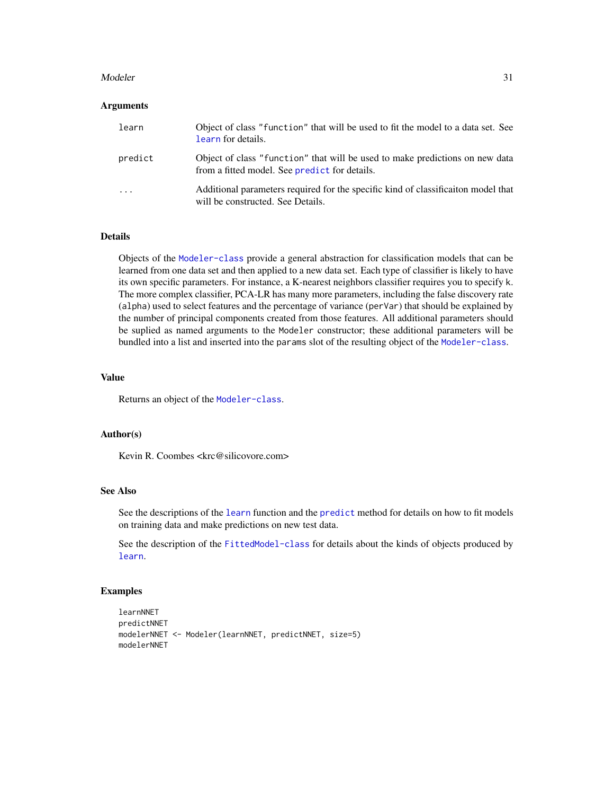#### <span id="page-30-0"></span>Modeler 31

#### **Arguments**

| learn                   | Object of class "function" that will be used to fit the model to a data set. See<br>learn for details.                        |
|-------------------------|-------------------------------------------------------------------------------------------------------------------------------|
| predict                 | Object of class "function" that will be used to make predictions on new data<br>from a fitted model. See predict for details. |
| $\cdot$ $\cdot$ $\cdot$ | Additional parameters required for the specific kind of classification model that<br>will be constructed. See Details.        |

# Details

Objects of the [Modeler-class](#page-31-1) provide a general abstraction for classification models that can be learned from one data set and then applied to a new data set. Each type of classifier is likely to have its own specific parameters. For instance, a K-nearest neighbors classifier requires you to specify k. The more complex classifier, PCA-LR has many more parameters, including the false discovery rate (alpha) used to select features and the percentage of variance (perVar) that should be explained by the number of principal components created from those features. All additional parameters should be suplied as named arguments to the Modeler constructor; these additional parameters will be bundled into a list and inserted into the params slot of the resulting object of the [Modeler-class](#page-31-1).

# Value

Returns an object of the [Modeler-class](#page-31-1).

# Author(s)

Kevin R. Coombes <krc@silicovore.com>

# See Also

See the descriptions of the [learn](#page-7-1) function and the [predict](#page-0-0) method for details on how to fit models on training data and make predictions on new test data.

See the description of the [FittedModel-class](#page-6-1) for details about the kinds of objects produced by [learn](#page-7-1).

# Examples

```
learnNNET
predictNNET
modelerNNET <- Modeler(learnNNET, predictNNET, size=5)
modelerNNET
```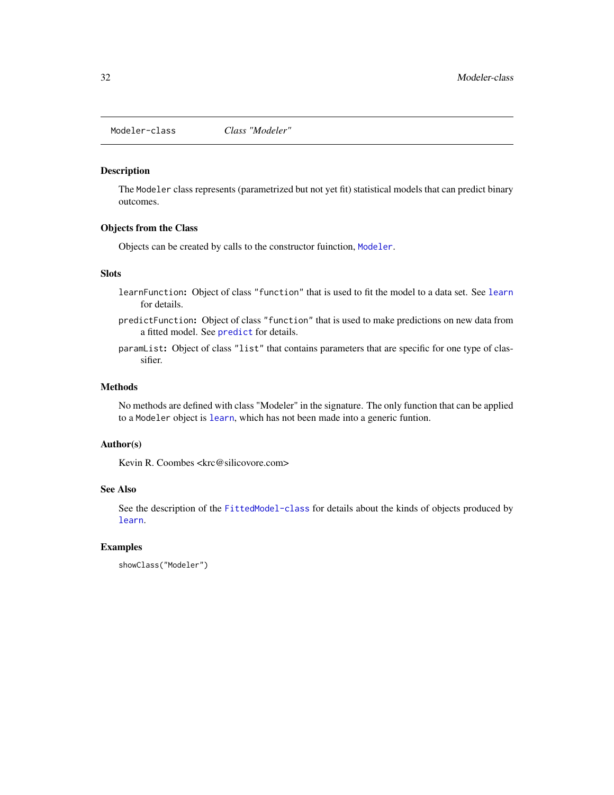<span id="page-31-1"></span><span id="page-31-0"></span>Modeler-class *Class "Modeler"*

# Description

The Modeler class represents (parametrized but not yet fit) statistical models that can predict binary outcomes.

# Objects from the Class

Objects can be created by calls to the constructor fuinction, [Modeler](#page-29-1).

# Slots

- learnFunction: Object of class "function" that is used to fit the model to a data set. See [learn](#page-7-1) for details.
- predictFunction: Object of class "function" that is used to make predictions on new data from a fitted model. See [predict](#page-0-0) for details.
- paramList: Object of class "list" that contains parameters that are specific for one type of classifier.

# Methods

No methods are defined with class "Modeler" in the signature. The only function that can be applied to a Modeler object is [learn](#page-7-1), which has not been made into a generic funtion.

# Author(s)

Kevin R. Coombes <krc@silicovore.com>

# See Also

See the description of the [FittedModel-class](#page-6-1) for details about the kinds of objects produced by [learn](#page-7-1).

# Examples

```
showClass("Modeler")
```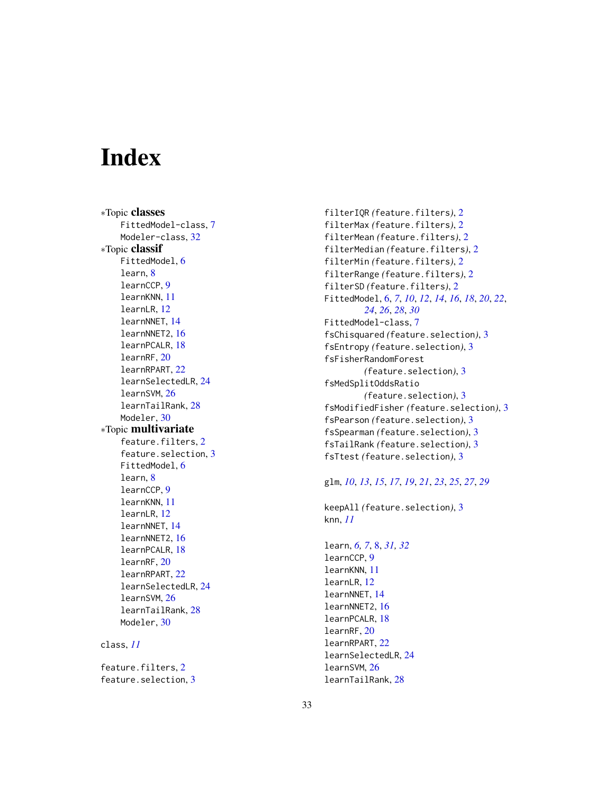# <span id="page-32-0"></span>**Index**

∗Topic classes FittedModel-class , [7](#page-6-0) Modeler-class, [32](#page-31-0) ∗Topic classif FittedModel, [6](#page-5-0) learn , [8](#page-7-0) learnCCP , [9](#page-8-0) learnKNN , [11](#page-10-0) learnLR , [12](#page-11-0) learnNNET , [14](#page-13-0) learnNNET2, [16](#page-15-0) learnPCALR , [18](#page-17-0) learnRF , [20](#page-19-0) learnRPART , [22](#page-21-0) learnSelectedLR , [24](#page-23-0) learnSVM , [26](#page-25-0) learnTailRank , [28](#page-27-0) Modeler, [30](#page-29-0) ∗Topic multivariate feature.filters, [2](#page-1-0) feature.selection, [3](#page-2-0) FittedModel, [6](#page-5-0) learn, [8](#page-7-0) learnCCP , [9](#page-8-0) learnKNN , [11](#page-10-0) learnLR , [12](#page-11-0) learnNNET , [14](#page-13-0) learnNNET2 , [16](#page-15-0) learnPCALR , [18](#page-17-0) learnRF , [20](#page-19-0) learnRPART , [22](#page-21-0) learnSelectedLR , [24](#page-23-0) learnSVM , [26](#page-25-0) learnTailRank , [28](#page-27-0) Modeler, [30](#page-29-0) class , *[11](#page-10-0)*

feature.filters, [2](#page-1-0) feature.selection, [3](#page-2-0)

filterIQR *(*feature.filters *)* , [2](#page-1-0) filterMax *(*feature.filters *)* , [2](#page-1-0) filterMean *(*feature.filters *)* , [2](#page-1-0) filterMedian *(*feature.filters *)* , [2](#page-1-0) filterMin *(*feature.filters *)* , [2](#page-1-0) filterRange *(*feature.filters *)* , [2](#page-1-0) filterSD *(*feature.filters *)* , [2](#page-1-0) FittedModel , [6](#page-5-0) , *[7](#page-6-0)* , *[10](#page-9-0)* , *[12](#page-11-0)* , *[14](#page-13-0)* , *[16](#page-15-0)* , *[18](#page-17-0)* , *[20](#page-19-0)* , *[22](#page-21-0)* , *[24](#page-23-0)* , *[26](#page-25-0)* , *[28](#page-27-0)* , *[30](#page-29-0)* FittedModel-class , [7](#page-6-0) fsChisquared *(*feature.selection *)* , [3](#page-2-0) fsEntropy *(*feature.selection *)* , [3](#page-2-0) fsFisherRandomForest *(*feature.selection *)* , [3](#page-2-0) fsMedSplitOddsRatio *(*feature.selection *)* , [3](#page-2-0) fsModifiedFisher *(*feature.selection *)* , [3](#page-2-0) fsPearson *(*feature.selection *)* , [3](#page-2-0) fsSpearman *(*feature.selection *)* , [3](#page-2-0) fsTailRank *(*feature.selection *)* , [3](#page-2-0) fsTtest *(*feature.selection *)* , [3](#page-2-0)

# glm , *[10](#page-9-0)* , *[13](#page-12-0)* , *[15](#page-14-0)* , *[17](#page-16-0)* , *[19](#page-18-0)* , *[21](#page-20-0)* , *[23](#page-22-0)* , *[25](#page-24-0)* , *[27](#page-26-0)* , *[29](#page-28-0)*

keepAll *(*feature.selection *)* , [3](#page-2-0) knn , *[11](#page-10-0)*

learn , *[6,](#page-5-0) [7](#page-6-0)* , [8](#page-7-0) , *[31](#page-30-0) , [32](#page-31-0)* learnCCP , [9](#page-8-0) learnKNN , [11](#page-10-0) learnLR , [12](#page-11-0) learnNNET , [14](#page-13-0) learnNNET2, [16](#page-15-0) learnPCALR , [18](#page-17-0) learnRF , [20](#page-19-0) learnRPART , [22](#page-21-0) learnSelectedLR , [24](#page-23-0) learnSVM , [26](#page-25-0) learnTailRank , [28](#page-27-0)